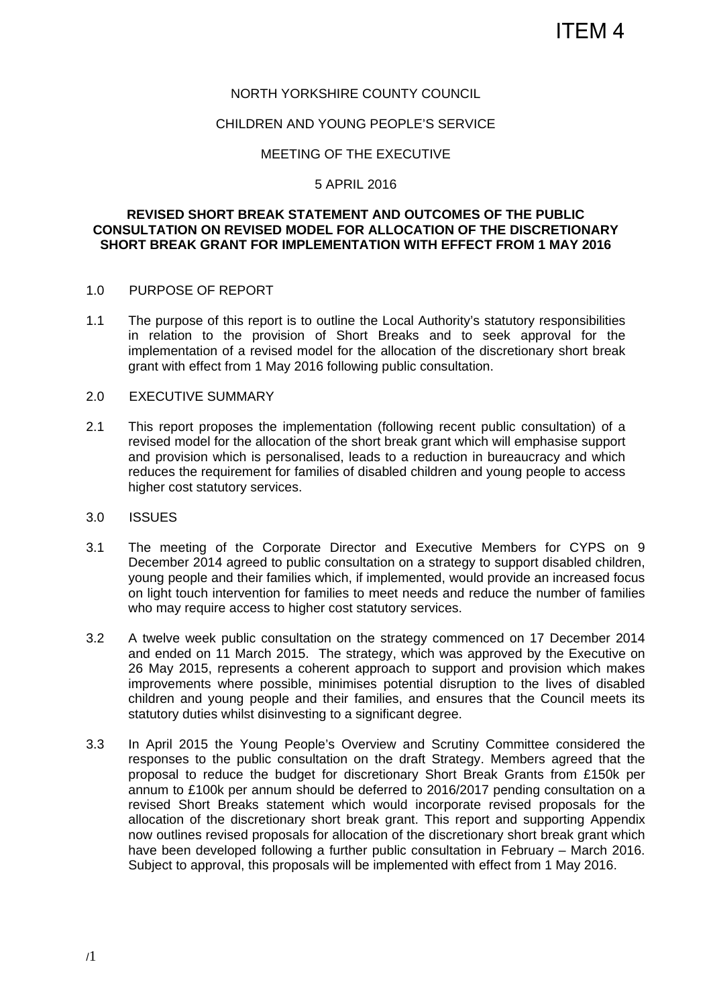#### NORTH YORKSHIRE COUNTY COUNCIL

#### CHILDREN AND YOUNG PEOPLE'S SERVICE

#### MEETING OF THE EXECUTIVE

#### 5 APRIL 2016

#### **REVISED SHORT BREAK STATEMENT AND OUTCOMES OF THE PUBLIC CONSULTATION ON REVISED MODEL FOR ALLOCATION OF THE DISCRETIONARY SHORT BREAK GRANT FOR IMPLEMENTATION WITH EFFECT FROM 1 MAY 2016**

#### 1.0 PURPOSE OF REPORT

1.1 The purpose of this report is to outline the Local Authority's statutory responsibilities in relation to the provision of Short Breaks and to seek approval for the implementation of a revised model for the allocation of the discretionary short break grant with effect from 1 May 2016 following public consultation.

#### 2.0 EXECUTIVE SUMMARY

- 2.1 This report proposes the implementation (following recent public consultation) of a revised model for the allocation of the short break grant which will emphasise support and provision which is personalised, leads to a reduction in bureaucracy and which reduces the requirement for families of disabled children and young people to access higher cost statutory services.
- 3.0 ISSUES
- 3.1 The meeting of the Corporate Director and Executive Members for CYPS on 9 December 2014 agreed to public consultation on a strategy to support disabled children, young people and their families which, if implemented, would provide an increased focus on light touch intervention for families to meet needs and reduce the number of families who may require access to higher cost statutory services.
- 3.2 A twelve week public consultation on the strategy commenced on 17 December 2014 and ended on 11 March 2015. The strategy, which was approved by the Executive on 26 May 2015, represents a coherent approach to support and provision which makes improvements where possible, minimises potential disruption to the lives of disabled children and young people and their families, and ensures that the Council meets its statutory duties whilst disinvesting to a significant degree.
- 3.3 In April 2015 the Young People's Overview and Scrutiny Committee considered the responses to the public consultation on the draft Strategy. Members agreed that the proposal to reduce the budget for discretionary Short Break Grants from £150k per annum to £100k per annum should be deferred to 2016/2017 pending consultation on a revised Short Breaks statement which would incorporate revised proposals for the allocation of the discretionary short break grant. This report and supporting Appendix now outlines revised proposals for allocation of the discretionary short break grant which have been developed following a further public consultation in February – March 2016. Subject to approval, this proposals will be implemented with effect from 1 May 2016.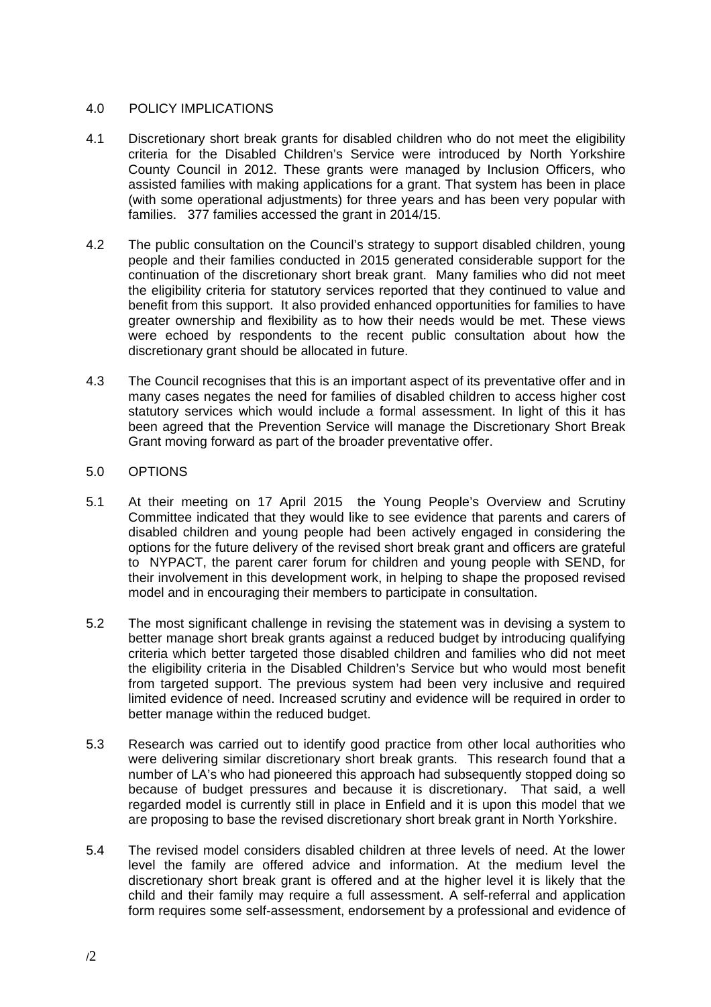#### 4.0 POLICY IMPLICATIONS

- 4.1 Discretionary short break grants for disabled children who do not meet the eligibility criteria for the Disabled Children's Service were introduced by North Yorkshire County Council in 2012. These grants were managed by Inclusion Officers, who assisted families with making applications for a grant. That system has been in place (with some operational adjustments) for three years and has been very popular with families. 377 families accessed the grant in 2014/15.
- 4.2 The public consultation on the Council's strategy to support disabled children, young people and their families conducted in 2015 generated considerable support for the continuation of the discretionary short break grant. Many families who did not meet the eligibility criteria for statutory services reported that they continued to value and benefit from this support. It also provided enhanced opportunities for families to have greater ownership and flexibility as to how their needs would be met. These views were echoed by respondents to the recent public consultation about how the discretionary grant should be allocated in future.
- 4.3 The Council recognises that this is an important aspect of its preventative offer and in many cases negates the need for families of disabled children to access higher cost statutory services which would include a formal assessment. In light of this it has been agreed that the Prevention Service will manage the Discretionary Short Break Grant moving forward as part of the broader preventative offer.

#### 5.0 OPTIONS

- 5.1 At their meeting on 17 April 2015 the Young People's Overview and Scrutiny Committee indicated that they would like to see evidence that parents and carers of disabled children and young people had been actively engaged in considering the options for the future delivery of the revised short break grant and officers are grateful to NYPACT, the parent carer forum for children and young people with SEND, for their involvement in this development work, in helping to shape the proposed revised model and in encouraging their members to participate in consultation.
- 5.2 The most significant challenge in revising the statement was in devising a system to better manage short break grants against a reduced budget by introducing qualifying criteria which better targeted those disabled children and families who did not meet the eligibility criteria in the Disabled Children's Service but who would most benefit from targeted support. The previous system had been very inclusive and required limited evidence of need. Increased scrutiny and evidence will be required in order to better manage within the reduced budget.
- 5.3 Research was carried out to identify good practice from other local authorities who were delivering similar discretionary short break grants. This research found that a number of LA's who had pioneered this approach had subsequently stopped doing so because of budget pressures and because it is discretionary. That said, a well regarded model is currently still in place in Enfield and it is upon this model that we are proposing to base the revised discretionary short break grant in North Yorkshire.
- 5.4 The revised model considers disabled children at three levels of need. At the lower level the family are offered advice and information. At the medium level the discretionary short break grant is offered and at the higher level it is likely that the child and their family may require a full assessment. A self-referral and application form requires some self-assessment, endorsement by a professional and evidence of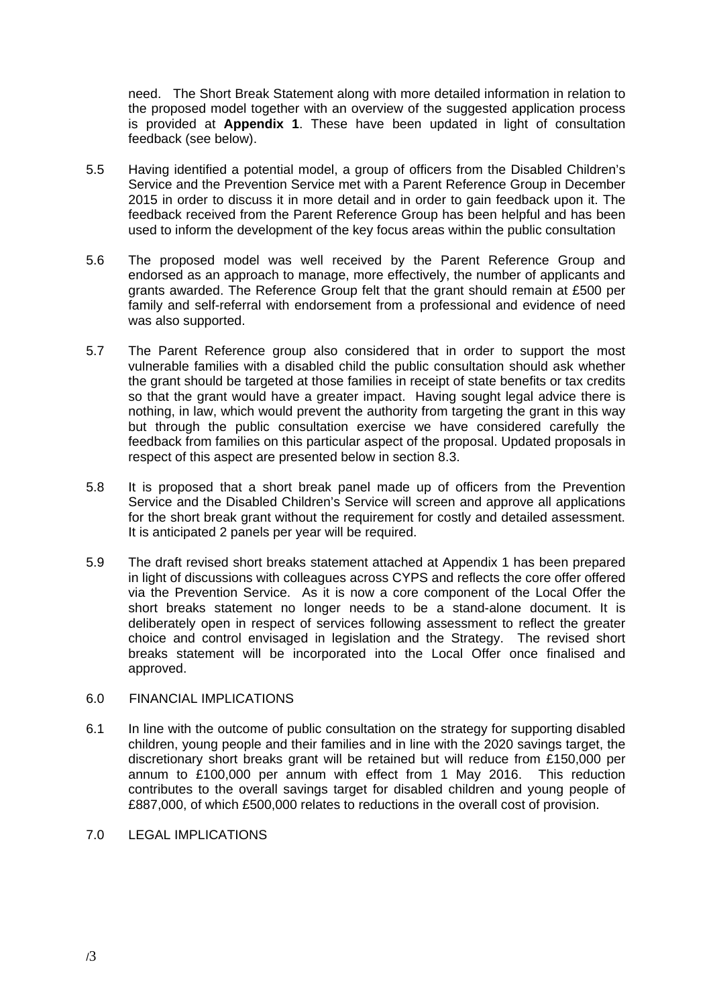need. The Short Break Statement along with more detailed information in relation to the proposed model together with an overview of the suggested application process is provided at **Appendix 1**. These have been updated in light of consultation feedback (see below).

- 5.5 Having identified a potential model, a group of officers from the Disabled Children's Service and the Prevention Service met with a Parent Reference Group in December 2015 in order to discuss it in more detail and in order to gain feedback upon it. The feedback received from the Parent Reference Group has been helpful and has been used to inform the development of the key focus areas within the public consultation
- 5.6 The proposed model was well received by the Parent Reference Group and endorsed as an approach to manage, more effectively, the number of applicants and grants awarded. The Reference Group felt that the grant should remain at £500 per family and self-referral with endorsement from a professional and evidence of need was also supported.
- 5.7 The Parent Reference group also considered that in order to support the most vulnerable families with a disabled child the public consultation should ask whether the grant should be targeted at those families in receipt of state benefits or tax credits so that the grant would have a greater impact. Having sought legal advice there is nothing, in law, which would prevent the authority from targeting the grant in this way but through the public consultation exercise we have considered carefully the feedback from families on this particular aspect of the proposal. Updated proposals in respect of this aspect are presented below in section 8.3.
- 5.8 It is proposed that a short break panel made up of officers from the Prevention Service and the Disabled Children's Service will screen and approve all applications for the short break grant without the requirement for costly and detailed assessment. It is anticipated 2 panels per year will be required.
- 5.9 The draft revised short breaks statement attached at Appendix 1 has been prepared in light of discussions with colleagues across CYPS and reflects the core offer offered via the Prevention Service. As it is now a core component of the Local Offer the short breaks statement no longer needs to be a stand-alone document. It is deliberately open in respect of services following assessment to reflect the greater choice and control envisaged in legislation and the Strategy. The revised short breaks statement will be incorporated into the Local Offer once finalised and approved.

#### 6.0 FINANCIAL IMPLICATIONS

- 6.1 In line with the outcome of public consultation on the strategy for supporting disabled children, young people and their families and in line with the 2020 savings target, the discretionary short breaks grant will be retained but will reduce from £150,000 per annum to £100,000 per annum with effect from 1 May 2016. This reduction contributes to the overall savings target for disabled children and young people of £887,000, of which £500,000 relates to reductions in the overall cost of provision.
- 7.0 LEGAL IMPLICATIONS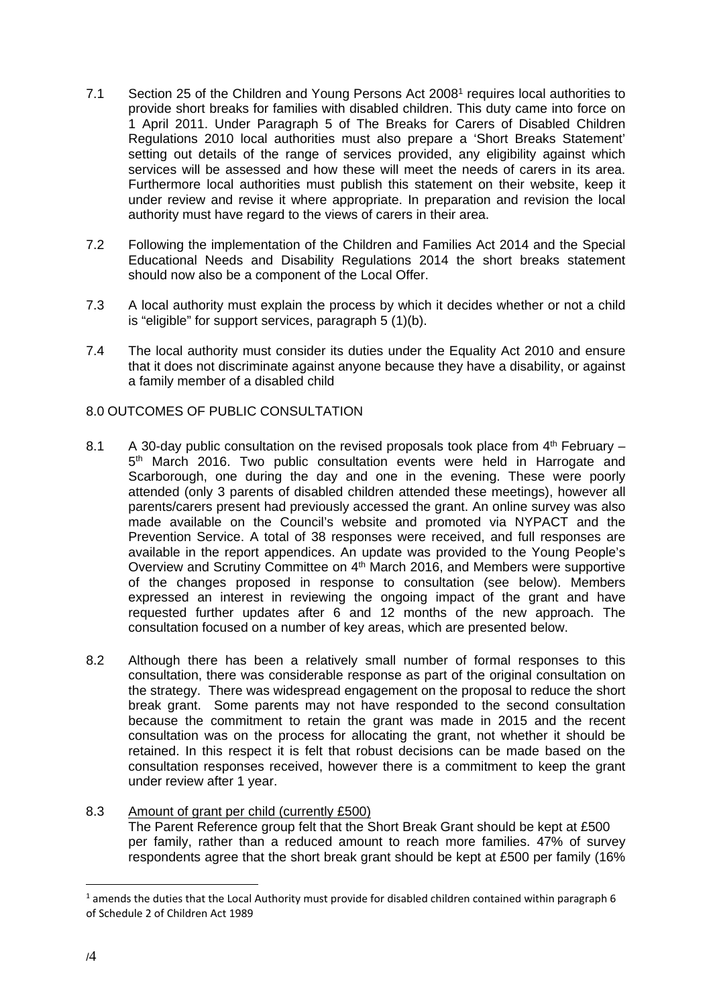- 7.1 Section 25 of the Children and Young Persons Act 20081 requires local authorities to provide short breaks for families with disabled children. This duty came into force on 1 April 2011. Under Paragraph 5 of The Breaks for Carers of Disabled Children Regulations 2010 local authorities must also prepare a 'Short Breaks Statement' setting out details of the range of services provided, any eligibility against which services will be assessed and how these will meet the needs of carers in its area. Furthermore local authorities must publish this statement on their website, keep it under review and revise it where appropriate. In preparation and revision the local authority must have regard to the views of carers in their area.
- 7.2 Following the implementation of the Children and Families Act 2014 and the Special Educational Needs and Disability Regulations 2014 the short breaks statement should now also be a component of the Local Offer.
- 7.3 A local authority must explain the process by which it decides whether or not a child is "eligible" for support services, paragraph  $5(1)(b)$ .
- 7.4 The local authority must consider its duties under the Equality Act 2010 and ensure that it does not discriminate against anyone because they have a disability, or against a family member of a disabled child

#### 8.0 OUTCOMES OF PUBLIC CONSULTATION

- 8.1 A 30-day public consultation on the revised proposals took place from  $4<sup>th</sup>$  February 5<sup>th</sup> March 2016. Two public consultation events were held in Harrogate and Scarborough, one during the day and one in the evening. These were poorly attended (only 3 parents of disabled children attended these meetings), however all parents/carers present had previously accessed the grant. An online survey was also made available on the Council's website and promoted via NYPACT and the Prevention Service. A total of 38 responses were received, and full responses are available in the report appendices. An update was provided to the Young People's Overview and Scrutiny Committee on 4<sup>th</sup> March 2016, and Members were supportive of the changes proposed in response to consultation (see below). Members expressed an interest in reviewing the ongoing impact of the grant and have requested further updates after 6 and 12 months of the new approach. The consultation focused on a number of key areas, which are presented below.
- 8.2 Although there has been a relatively small number of formal responses to this consultation, there was considerable response as part of the original consultation on the strategy. There was widespread engagement on the proposal to reduce the short break grant. Some parents may not have responded to the second consultation because the commitment to retain the grant was made in 2015 and the recent consultation was on the process for allocating the grant, not whether it should be retained. In this respect it is felt that robust decisions can be made based on the consultation responses received, however there is a commitment to keep the grant under review after 1 year.

#### 8.3 Amount of grant per child (currently £500) The Parent Reference group felt that the Short Break Grant should be kept at £500 per family, rather than a reduced amount to reach more families. 47% of survey respondents agree that the short break grant should be kept at £500 per family (16%

 $\overline{a}$ 

<sup>1</sup> amends the duties that the Local Authority must provide for disabled children contained within paragraph 6 of Schedule 2 of Children Act 1989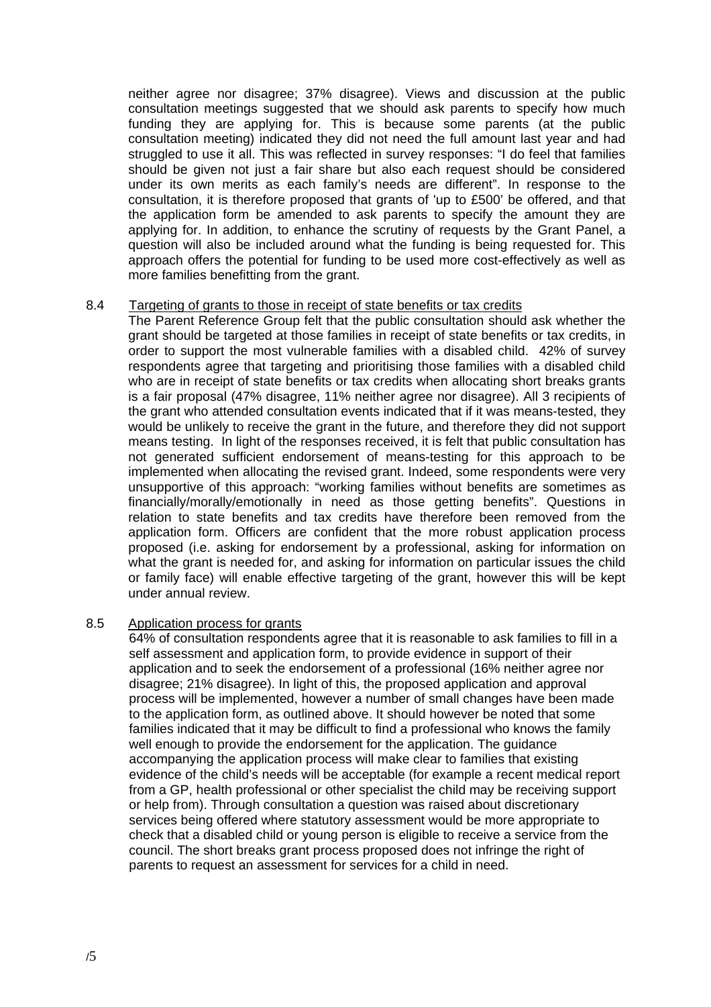neither agree nor disagree; 37% disagree). Views and discussion at the public consultation meetings suggested that we should ask parents to specify how much funding they are applying for. This is because some parents (at the public consultation meeting) indicated they did not need the full amount last year and had struggled to use it all. This was reflected in survey responses: "I do feel that families should be given not just a fair share but also each request should be considered under its own merits as each family's needs are different". In response to the consultation, it is therefore proposed that grants of 'up to £500' be offered, and that the application form be amended to ask parents to specify the amount they are applying for. In addition, to enhance the scrutiny of requests by the Grant Panel, a question will also be included around what the funding is being requested for. This approach offers the potential for funding to be used more cost-effectively as well as more families benefitting from the grant.

#### 8.4 Targeting of grants to those in receipt of state benefits or tax credits

The Parent Reference Group felt that the public consultation should ask whether the grant should be targeted at those families in receipt of state benefits or tax credits, in order to support the most vulnerable families with a disabled child. 42% of survey respondents agree that targeting and prioritising those families with a disabled child who are in receipt of state benefits or tax credits when allocating short breaks grants is a fair proposal (47% disagree, 11% neither agree nor disagree). All 3 recipients of the grant who attended consultation events indicated that if it was means-tested, they would be unlikely to receive the grant in the future, and therefore they did not support means testing. In light of the responses received, it is felt that public consultation has not generated sufficient endorsement of means-testing for this approach to be implemented when allocating the revised grant. Indeed, some respondents were very unsupportive of this approach: "working families without benefits are sometimes as financially/morally/emotionally in need as those getting benefits". Questions in relation to state benefits and tax credits have therefore been removed from the application form. Officers are confident that the more robust application process proposed (i.e. asking for endorsement by a professional, asking for information on what the grant is needed for, and asking for information on particular issues the child or family face) will enable effective targeting of the grant, however this will be kept under annual review.

#### 8.5 Application process for grants

64% of consultation respondents agree that it is reasonable to ask families to fill in a self assessment and application form, to provide evidence in support of their application and to seek the endorsement of a professional (16% neither agree nor disagree; 21% disagree). In light of this, the proposed application and approval process will be implemented, however a number of small changes have been made to the application form, as outlined above. It should however be noted that some families indicated that it may be difficult to find a professional who knows the family well enough to provide the endorsement for the application. The guidance accompanying the application process will make clear to families that existing evidence of the child's needs will be acceptable (for example a recent medical report from a GP, health professional or other specialist the child may be receiving support or help from). Through consultation a question was raised about discretionary services being offered where statutory assessment would be more appropriate to check that a disabled child or young person is eligible to receive a service from the council. The short breaks grant process proposed does not infringe the right of parents to request an assessment for services for a child in need.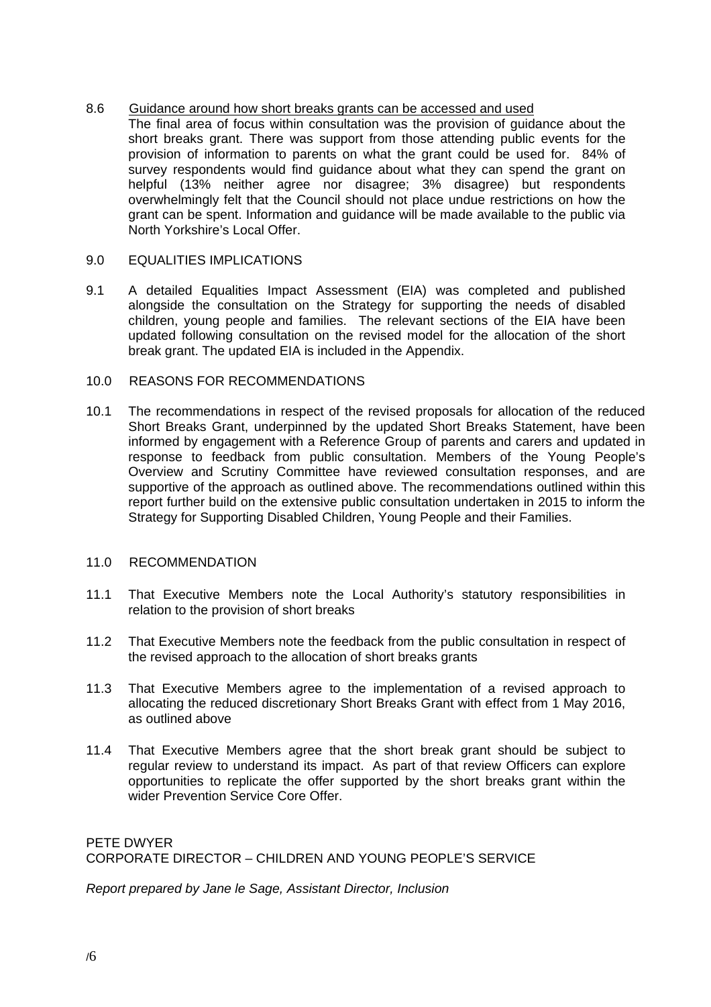#### 8.6 Guidance around how short breaks grants can be accessed and used

The final area of focus within consultation was the provision of guidance about the short breaks grant. There was support from those attending public events for the provision of information to parents on what the grant could be used for. 84% of survey respondents would find guidance about what they can spend the grant on helpful (13% neither agree nor disagree; 3% disagree) but respondents overwhelmingly felt that the Council should not place undue restrictions on how the grant can be spent. Information and guidance will be made available to the public via North Yorkshire's Local Offer.

#### 9.0 EQUALITIES IMPLICATIONS

9.1 A detailed Equalities Impact Assessment (EIA) was completed and published alongside the consultation on the Strategy for supporting the needs of disabled children, young people and families. The relevant sections of the EIA have been updated following consultation on the revised model for the allocation of the short break grant. The updated EIA is included in the Appendix.

#### 10.0 REASONS FOR RECOMMENDATIONS

10.1 The recommendations in respect of the revised proposals for allocation of the reduced Short Breaks Grant, underpinned by the updated Short Breaks Statement, have been informed by engagement with a Reference Group of parents and carers and updated in response to feedback from public consultation. Members of the Young People's Overview and Scrutiny Committee have reviewed consultation responses, and are supportive of the approach as outlined above. The recommendations outlined within this report further build on the extensive public consultation undertaken in 2015 to inform the Strategy for Supporting Disabled Children, Young People and their Families.

#### 11.0 RECOMMENDATION

- 11.1 That Executive Members note the Local Authority's statutory responsibilities in relation to the provision of short breaks
- 11.2 That Executive Members note the feedback from the public consultation in respect of the revised approach to the allocation of short breaks grants
- 11.3 That Executive Members agree to the implementation of a revised approach to allocating the reduced discretionary Short Breaks Grant with effect from 1 May 2016, as outlined above
- 11.4 That Executive Members agree that the short break grant should be subject to regular review to understand its impact. As part of that review Officers can explore opportunities to replicate the offer supported by the short breaks grant within the wider Prevention Service Core Offer.

PETE DWYER CORPORATE DIRECTOR – CHILDREN AND YOUNG PEOPLE'S SERVICE

*Report prepared by Jane le Sage, Assistant Director, Inclusion*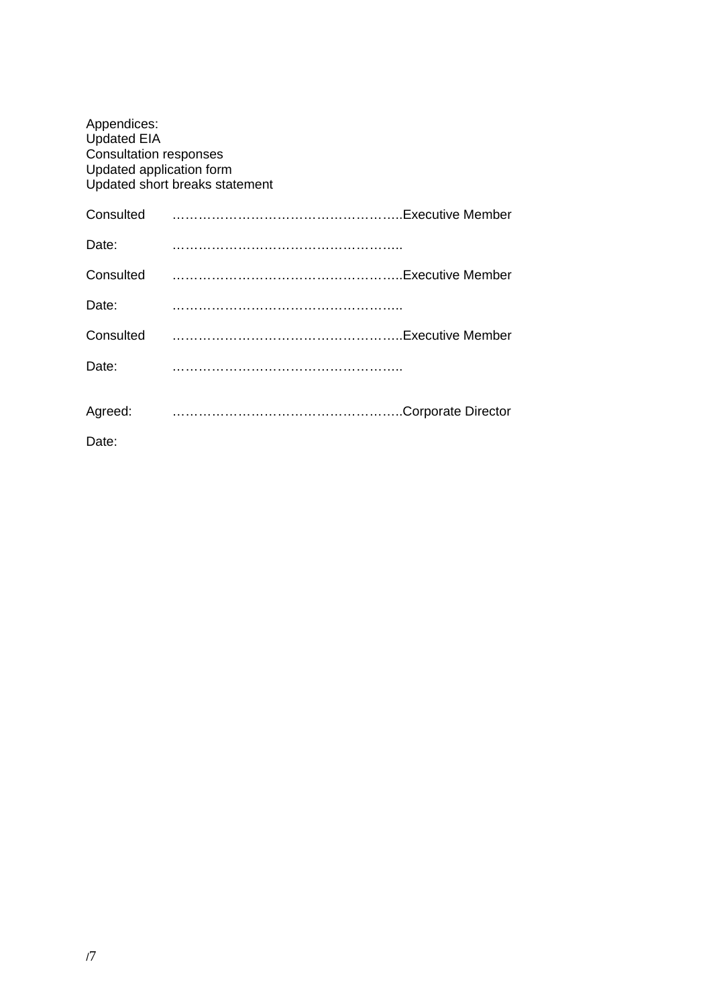| Appendices:<br><b>Updated EIA</b><br><b>Consultation responses</b><br>Updated application form | Updated short breaks statement |  |
|------------------------------------------------------------------------------------------------|--------------------------------|--|
| Consulted                                                                                      | Executive Member               |  |
| Date:                                                                                          |                                |  |
| Consulted                                                                                      | Executive Member               |  |
| Date:                                                                                          |                                |  |
| Consulted                                                                                      |                                |  |
| Date:                                                                                          |                                |  |
| Agreed:                                                                                        |                                |  |
| Date:                                                                                          |                                |  |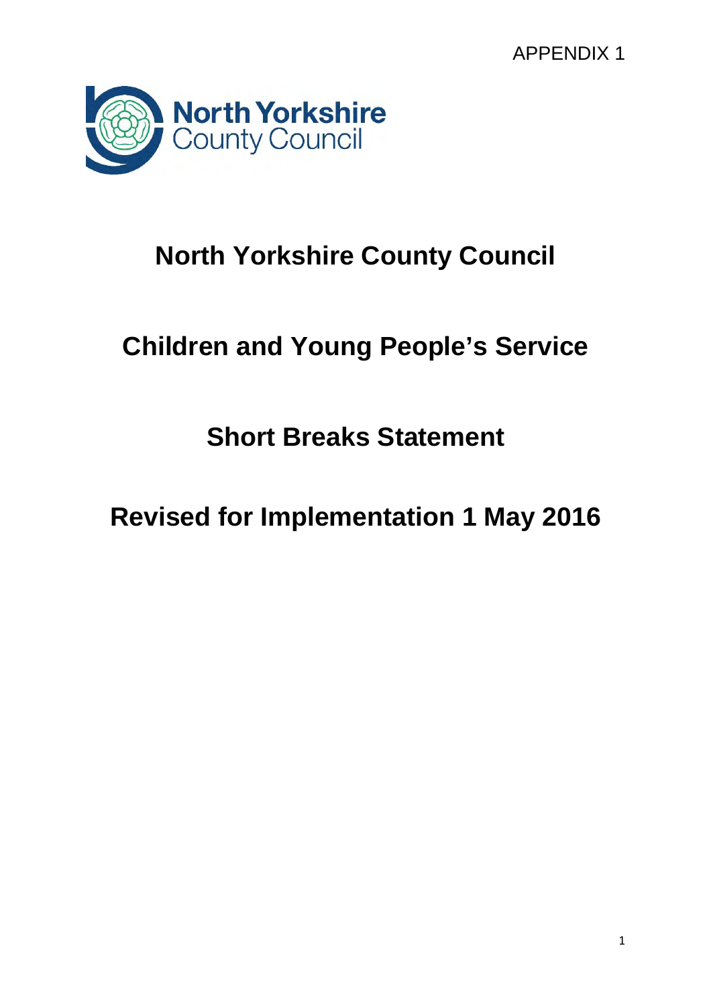APPENDIX 1



# **North Yorkshire County Council**

# **Children and Young People's Service**

**Short Breaks Statement** 

**Revised for Implementation 1 May 2016**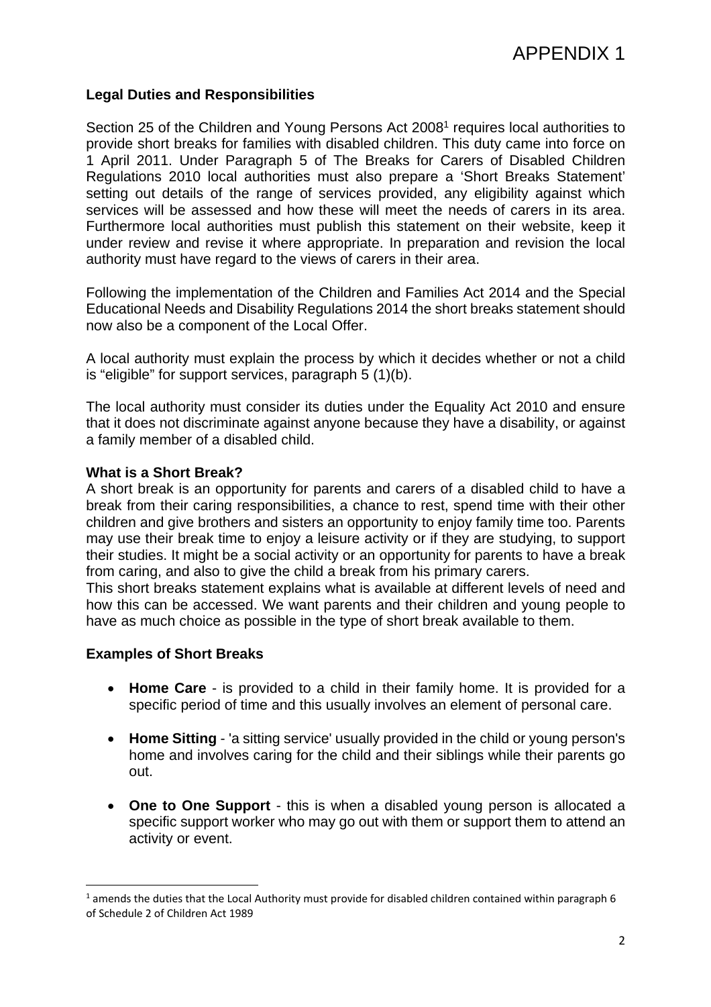#### **Legal Duties and Responsibilities**

Section 25 of the Children and Young Persons Act 2008<sup>1</sup> requires local authorities to provide short breaks for families with disabled children. This duty came into force on 1 April 2011. Under Paragraph 5 of The Breaks for Carers of Disabled Children Regulations 2010 local authorities must also prepare a 'Short Breaks Statement' setting out details of the range of services provided, any eligibility against which services will be assessed and how these will meet the needs of carers in its area. Furthermore local authorities must publish this statement on their website, keep it under review and revise it where appropriate. In preparation and revision the local authority must have regard to the views of carers in their area.

Following the implementation of the Children and Families Act 2014 and the Special Educational Needs and Disability Regulations 2014 the short breaks statement should now also be a component of the Local Offer.

A local authority must explain the process by which it decides whether or not a child is "eligible" for support services, paragraph 5 (1)(b).

The local authority must consider its duties under the Equality Act 2010 and ensure that it does not discriminate against anyone because they have a disability, or against a family member of a disabled child.

#### **What is a Short Break?**

A short break is an opportunity for parents and carers of a disabled child to have a break from their caring responsibilities, a chance to rest, spend time with their other children and give brothers and sisters an opportunity to enjoy family time too. Parents may use their break time to enjoy a leisure activity or if they are studying, to support their studies. It might be a social activity or an opportunity for parents to have a break from caring, and also to give the child a break from his primary carers.

This short breaks statement explains what is available at different levels of need and how this can be accessed. We want parents and their children and young people to have as much choice as possible in the type of short break available to them.

#### **Examples of Short Breaks**

- **Home Care**  is provided to a child in their family home. It is provided for a specific period of time and this usually involves an element of personal care.
- **Home Sitting**  'a sitting service' usually provided in the child or young person's home and involves caring for the child and their siblings while their parents go out.
- **One to One Support**  this is when a disabled young person is allocated a specific support worker who may go out with them or support them to attend an activity or event.

<sup>1</sup> amends the duties that the Local Authority must provide for disabled children contained within paragraph 6 of Schedule 2 of Children Act 1989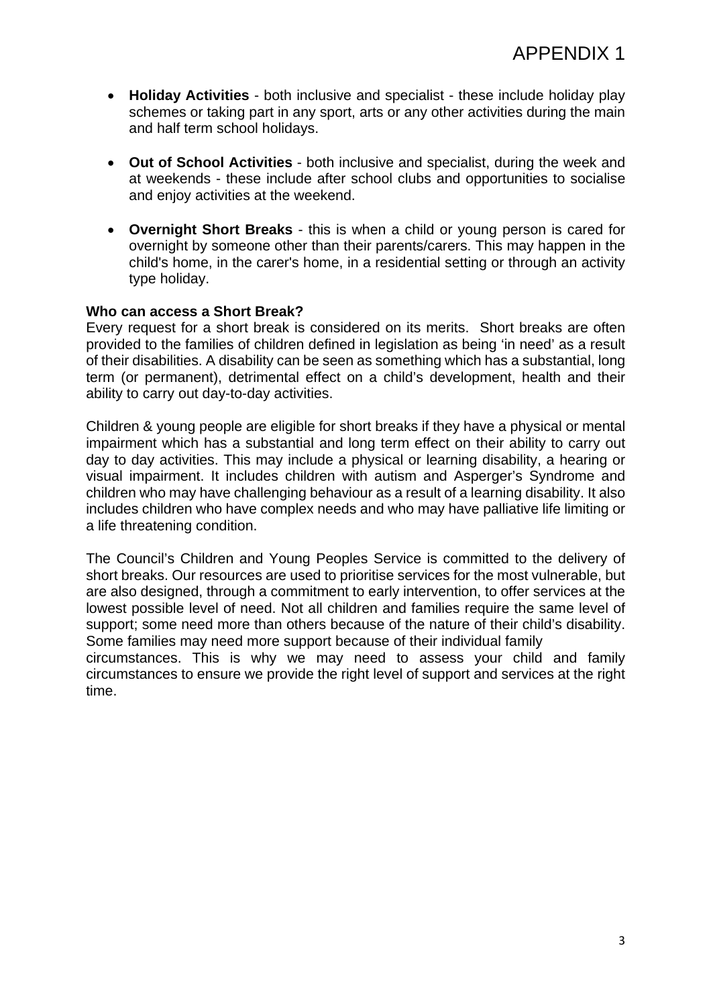- **Holiday Activities**  both inclusive and specialist these include holiday play schemes or taking part in any sport, arts or any other activities during the main and half term school holidays.
- **Out of School Activities**  both inclusive and specialist, during the week and at weekends - these include after school clubs and opportunities to socialise and enjoy activities at the weekend.
- **Overnight Short Breaks**  this is when a child or young person is cared for overnight by someone other than their parents/carers. This may happen in the child's home, in the carer's home, in a residential setting or through an activity type holiday.

#### **Who can access a Short Break?**

Every request for a short break is considered on its merits. Short breaks are often provided to the families of children defined in legislation as being 'in need' as a result of their disabilities. A disability can be seen as something which has a substantial, long term (or permanent), detrimental effect on a child's development, health and their ability to carry out day-to-day activities.

Children & young people are eligible for short breaks if they have a physical or mental impairment which has a substantial and long term effect on their ability to carry out day to day activities. This may include a physical or learning disability, a hearing or visual impairment. It includes children with autism and Asperger's Syndrome and children who may have challenging behaviour as a result of a learning disability. It also includes children who have complex needs and who may have palliative life limiting or a life threatening condition.

The Council's Children and Young Peoples Service is committed to the delivery of short breaks. Our resources are used to prioritise services for the most vulnerable, but are also designed, through a commitment to early intervention, to offer services at the lowest possible level of need. Not all children and families require the same level of support; some need more than others because of the nature of their child's disability. Some families may need more support because of their individual family

circumstances. This is why we may need to assess your child and family circumstances to ensure we provide the right level of support and services at the right time.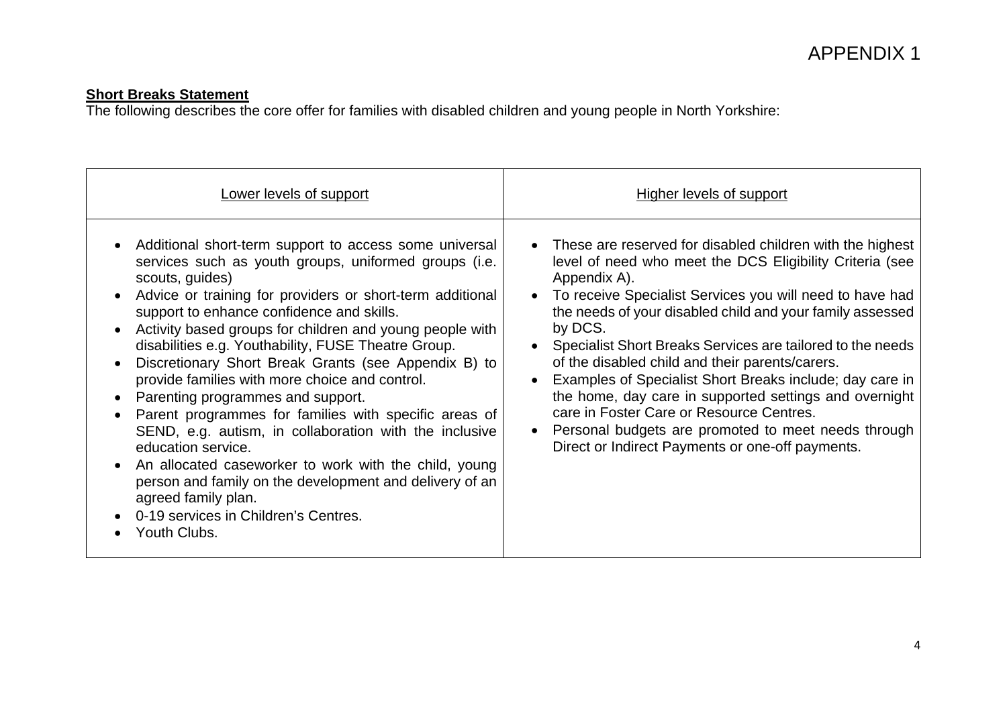**Short Breaks Statement**<br>The following describes the core offer for families with disabled children and young people in North Yorkshire:

| Lower levels of support                                                                                                                                                                                                                                                                                                                                                                                                                                                                                                                                                                                                                                                                                                                                                                                                                                                                                                     | <b>Higher levels of support</b>                                                                                                                                                                                                                                                                                                                                                                                                                                                                                                                                                                                                                                           |
|-----------------------------------------------------------------------------------------------------------------------------------------------------------------------------------------------------------------------------------------------------------------------------------------------------------------------------------------------------------------------------------------------------------------------------------------------------------------------------------------------------------------------------------------------------------------------------------------------------------------------------------------------------------------------------------------------------------------------------------------------------------------------------------------------------------------------------------------------------------------------------------------------------------------------------|---------------------------------------------------------------------------------------------------------------------------------------------------------------------------------------------------------------------------------------------------------------------------------------------------------------------------------------------------------------------------------------------------------------------------------------------------------------------------------------------------------------------------------------------------------------------------------------------------------------------------------------------------------------------------|
| Additional short-term support to access some universal<br>$\bullet$<br>services such as youth groups, uniformed groups (i.e.<br>scouts, guides)<br>Advice or training for providers or short-term additional<br>$\bullet$<br>support to enhance confidence and skills.<br>Activity based groups for children and young people with<br>disabilities e.g. Youthability, FUSE Theatre Group.<br>Discretionary Short Break Grants (see Appendix B) to<br>$\bullet$<br>provide families with more choice and control.<br>Parenting programmes and support.<br>Parent programmes for families with specific areas of<br>$\bullet$<br>SEND, e.g. autism, in collaboration with the inclusive<br>education service.<br>An allocated caseworker to work with the child, young<br>$\bullet$<br>person and family on the development and delivery of an<br>agreed family plan.<br>0-19 services in Children's Centres.<br>Youth Clubs. | • These are reserved for disabled children with the highest<br>level of need who meet the DCS Eligibility Criteria (see<br>Appendix A).<br>To receive Specialist Services you will need to have had<br>the needs of your disabled child and your family assessed<br>by DCS.<br>Specialist Short Breaks Services are tailored to the needs<br>of the disabled child and their parents/carers.<br>Examples of Specialist Short Breaks include; day care in<br>the home, day care in supported settings and overnight<br>care in Foster Care or Resource Centres.<br>Personal budgets are promoted to meet needs through<br>Direct or Indirect Payments or one-off payments. |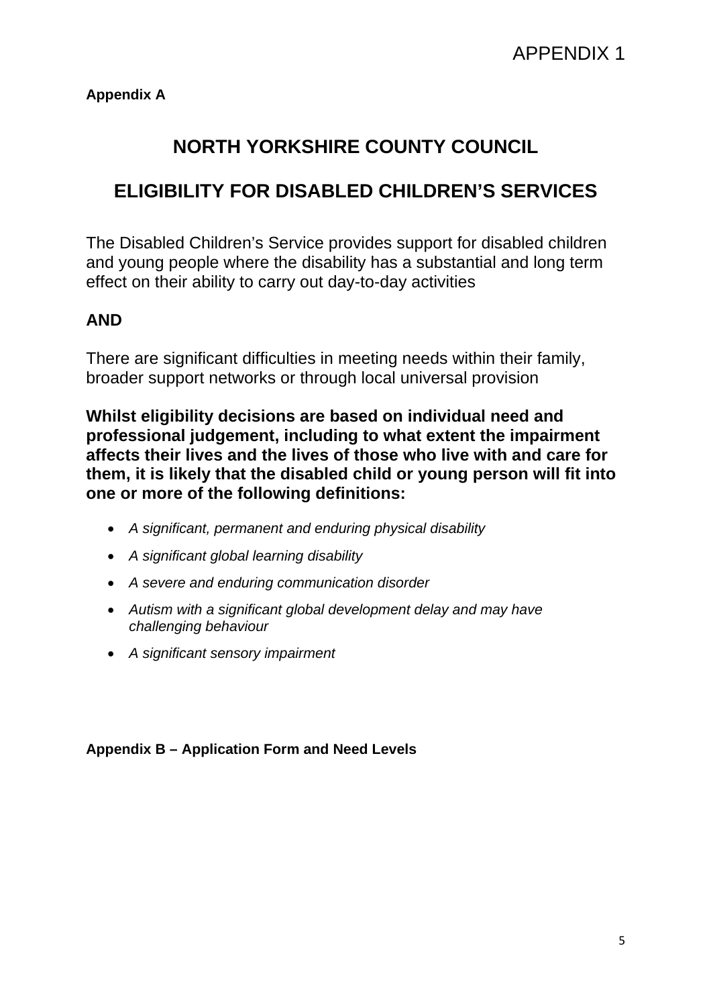### **NORTH YORKSHIRE COUNTY COUNCIL**

### **ELIGIBILITY FOR DISABLED CHILDREN'S SERVICES**

The Disabled Children's Service provides support for disabled children and young people where the disability has a substantial and long term effect on their ability to carry out day-to-day activities

### **AND**

There are significant difficulties in meeting needs within their family, broader support networks or through local universal provision

**Whilst eligibility decisions are based on individual need and professional judgement, including to what extent the impairment affects their lives and the lives of those who live with and care for them, it is likely that the disabled child or young person will fit into one or more of the following definitions:** 

- *A significant, permanent and enduring physical disability*
- *A significant global learning disability*
- *A severe and enduring communication disorder*
- *Autism with a significant global development delay and may have challenging behaviour*
- *A significant sensory impairment*

#### **Appendix B – Application Form and Need Levels**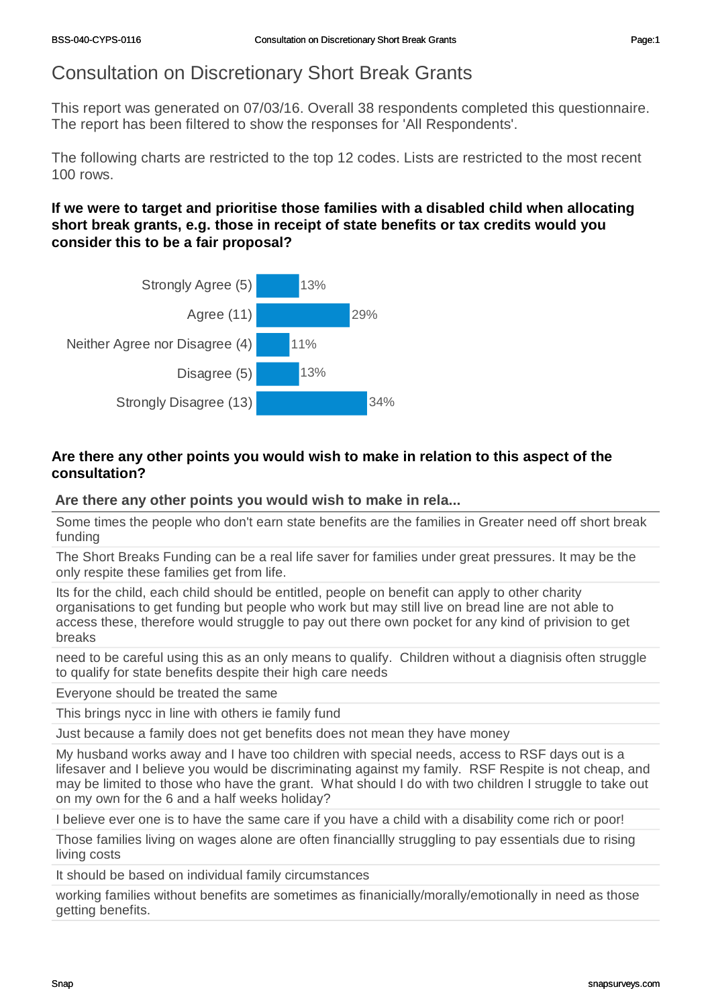### Consultation on Discretionary Short Break Grants

This report was generated on 07/03/16. Overall 38 respondents completed this questionnaire. The report has been filtered to show the responses for 'All Respondents'.

The following charts are restricted to the top 12 codes. Lists are restricted to the most recent 100 rows.

#### **If we were to target and prioritise those families with a disabled child when allocating short break grants, e.g. those in receipt of state benefits or tax credits would you consider this to be a fair proposal?**



#### **Are there any other points you would wish to make in relation to this aspect of the consultation?**

#### **Are there any other points you would wish to make in rela...**

Some times the people who don't earn state benefits are the families in Greater need off short break funding

The Short Breaks Funding can be a real life saver for families under great pressures. It may be the only respite these families get from life.

Its for the child, each child should be entitled, people on benefit can apply to other charity organisations to get funding but people who work but may still live on bread line are not able to access these, therefore would struggle to pay out there own pocket for any kind of privision to get breaks

need to be careful using this as an only means to qualify. Children without a diagnisis often struggle to qualify for state benefits despite their high care needs

Everyone should be treated the same

This brings nycc in line with others ie family fund

Just because a family does not get benefits does not mean they have money

My husband works away and I have too children with special needs, access to RSF days out is a lifesaver and I believe you would be discriminating against my family. RSF Respite is not cheap, and may be limited to those who have the grant. What should I do with two children I struggle to take out on my own for the 6 and a half weeks holiday?

I believe ever one is to have the same care if you have a child with a disability come rich or poor!

Those families living on wages alone are often financiallly struggling to pay essentials due to rising living costs

It should be based on individual family circumstances

working families without benefits are sometimes as finanicially/morally/emotionally in need as those getting benefits.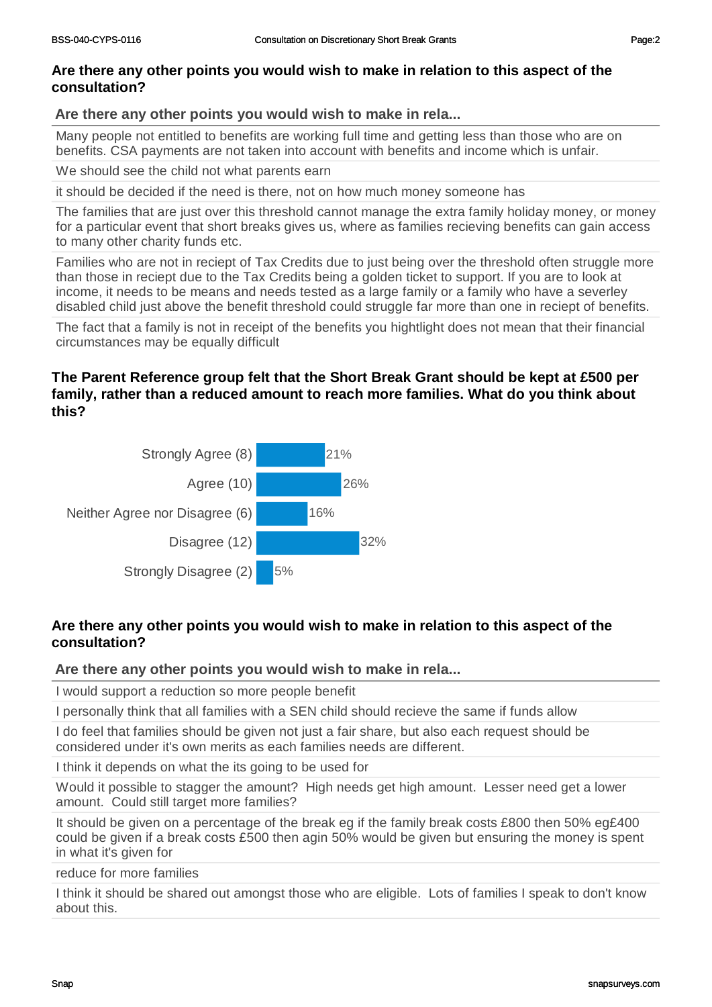#### **Are there any other points you would wish to make in rela...**

Many people not entitled to benefits are working full time and getting less than those who are on benefits. CSA payments are not taken into account with benefits and income which is unfair.

We should see the child not what parents earn

it should be decided if the need is there, not on how much money someone has

The families that are just over this threshold cannot manage the extra family holiday money, or money for a particular event that short breaks gives us, where as families recieving benefits can gain access to many other charity funds etc.

Families who are not in reciept of Tax Credits due to just being over the threshold often struggle more than those in reciept due to the Tax Credits being a golden ticket to support. If you are to look at income, it needs to be means and needs tested as a large family or a family who have a severley disabled child just above the benefit threshold could struggle far more than one in reciept of benefits.

The fact that a family is not in receipt of the benefits you hightlight does not mean that their financial circumstances may be equally difficult

#### **The Parent Reference group felt that the Short Break Grant should be kept at £500 per family, rather than a reduced amount to reach more families. What do you think about this?**



#### **Are there any other points you would wish to make in relation to this aspect of the consultation?**

#### **Are there any other points you would wish to make in rela...**

I would support a reduction so more people benefit

I personally think that all families with a SEN child should recieve the same if funds allow

I do feel that families should be given not just a fair share, but also each request should be considered under it's own merits as each families needs are different.

I think it depends on what the its going to be used for

Would it possible to stagger the amount? High needs get high amount. Lesser need get a lower amount. Could still target more families?

It should be given on a percentage of the break eg if the family break costs £800 then 50% eg£400 could be given if a break costs £500 then agin 50% would be given but ensuring the money is spent in what it's given for

reduce for more families

I think it should be shared out amongst those who are eligible. Lots of families I speak to don't know about this.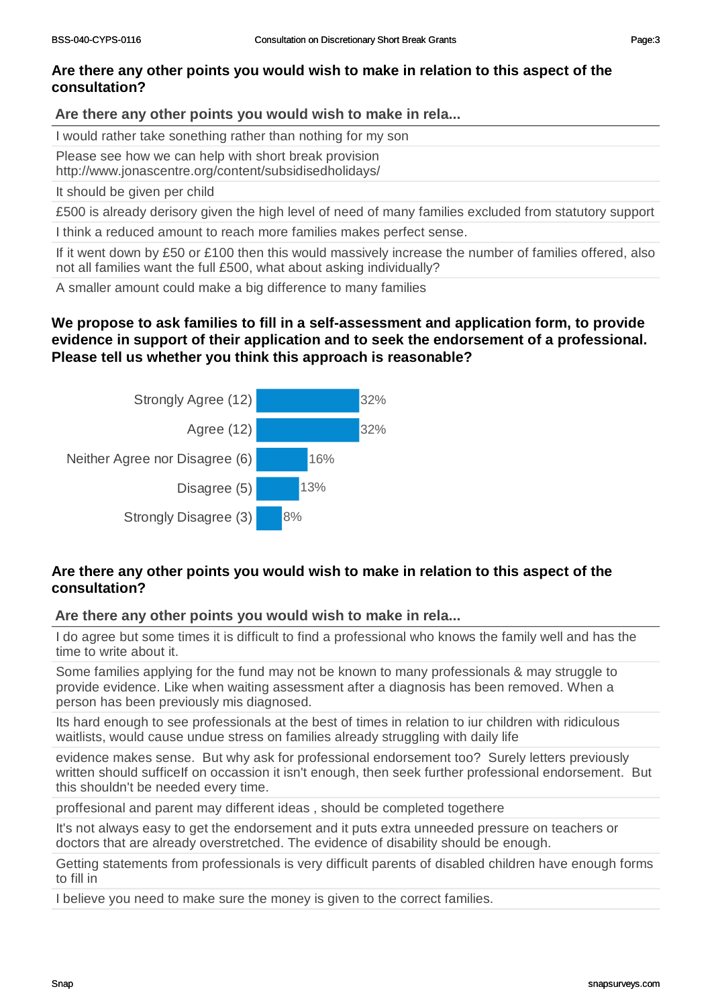#### **Are there any other points you would wish to make in rela...**

I would rather take sonething rather than nothing for my son

Please see how we can help with short break provision

http://www.jonascentre.org/content/subsidisedholidays/

It should be given per child

£500 is already derisory given the high level of need of many families excluded from statutory support

I think a reduced amount to reach more families makes perfect sense.

If it went down by £50 or £100 then this would massively increase the number of families offered, also not all families want the full £500, what about asking individually?

A smaller amount could make a big difference to many families

#### **We propose to ask families to fill in a self-assessment and application form, to provide evidence in support of their application and to seek the endorsement of a professional. Please tell us whether you think this approach is reasonable?**



#### **Are there any other points you would wish to make in relation to this aspect of the consultation?**

**Are there any other points you would wish to make in rela...**

I do agree but some times it is difficult to find a professional who knows the family well and has the time to write about it.

Some families applying for the fund may not be known to many professionals & may struggle to provide evidence. Like when waiting assessment after a diagnosis has been removed. When a person has been previously mis diagnosed.

Its hard enough to see professionals at the best of times in relation to iur children with ridiculous waitlists, would cause undue stress on families already struggling with daily life

evidence makes sense. But why ask for professional endorsement too? Surely letters previously written should sufficeIf on occassion it isn't enough, then seek further professional endorsement. But this shouldn't be needed every time.

proffesional and parent may different ideas , should be completed togethere

It's not always easy to get the endorsement and it puts extra unneeded pressure on teachers or doctors that are already overstretched. The evidence of disability should be enough.

Getting statements from professionals is very difficult parents of disabled children have enough forms to fill in

I believe you need to make sure the money is given to the correct families.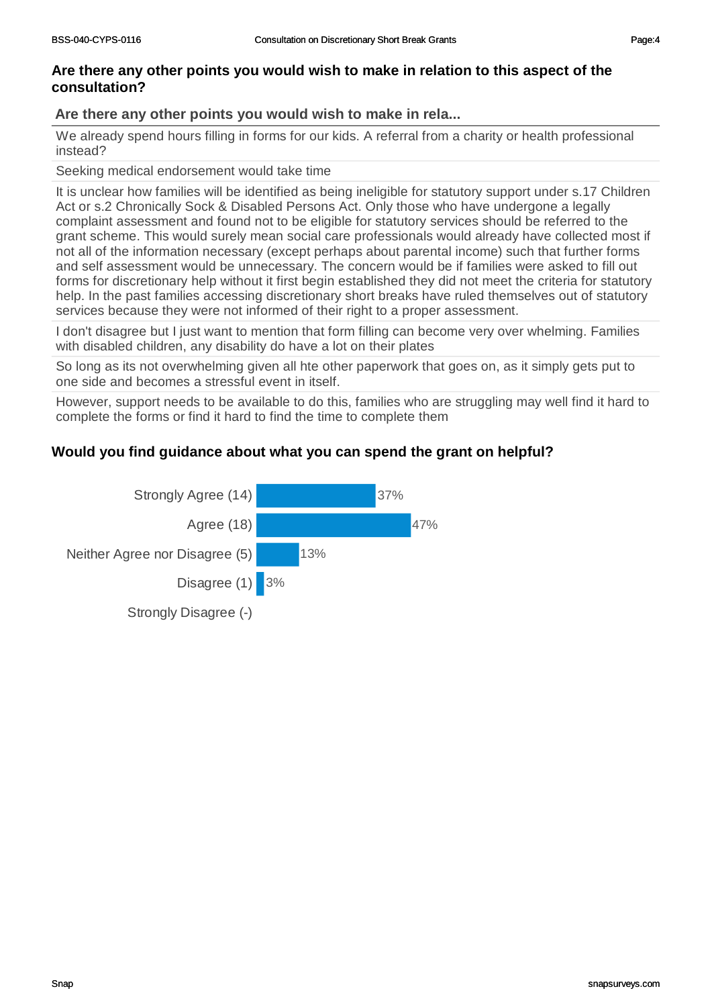#### **Are there any other points you would wish to make in rela...**

We already spend hours filling in forms for our kids. A referral from a charity or health professional instead?

Seeking medical endorsement would take time

It is unclear how families will be identified as being ineligible for statutory support under s.17 Children Act or s.2 Chronically Sock & Disabled Persons Act. Only those who have undergone a legally complaint assessment and found not to be eligible for statutory services should be referred to the grant scheme. This would surely mean social care professionals would already have collected most if not all of the information necessary (except perhaps about parental income) such that further forms and self assessment would be unnecessary. The concern would be if families were asked to fill out forms for discretionary help without it first begin established they did not meet the criteria for statutory help. In the past families accessing discretionary short breaks have ruled themselves out of statutory services because they were not informed of their right to a proper assessment.

I don't disagree but I just want to mention that form filling can become very over whelming. Families with disabled children, any disability do have a lot on their plates

So long as its not overwhelming given all hte other paperwork that goes on, as it simply gets put to one side and becomes a stressful event in itself.

However, support needs to be available to do this, families who are struggling may well find it hard to complete the forms or find it hard to find the time to complete them

#### **Would you find guidance about what you can spend the grant on helpful?**

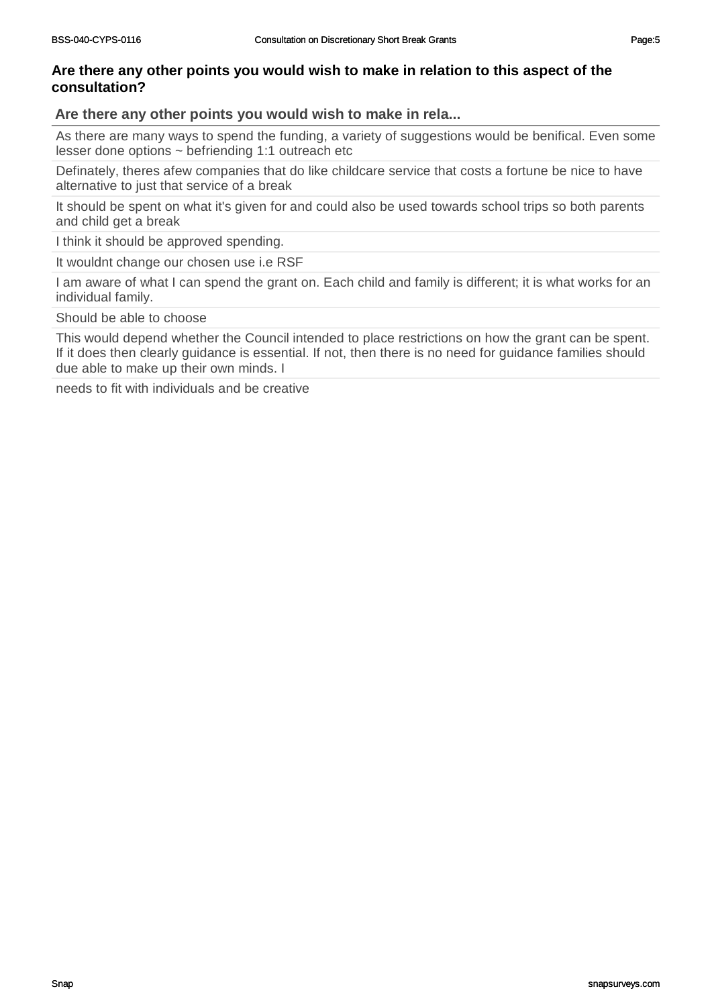#### **Are there any other points you would wish to make in rela...**

As there are many ways to spend the funding, a variety of suggestions would be benifical. Even some lesser done options ~ befriending 1:1 outreach etc

Definately, theres afew companies that do like childcare service that costs a fortune be nice to have alternative to just that service of a break

It should be spent on what it's given for and could also be used towards school trips so both parents and child get a break

I think it should be approved spending.

It wouldnt change our chosen use i.e RSF

I am aware of what I can spend the grant on. Each child and family is different; it is what works for an individual family.

Should be able to choose

This would depend whether the Council intended to place restrictions on how the grant can be spent. If it does then clearly guidance is essential. If not, then there is no need for guidance families should due able to make up their own minds. I

needs to fit with individuals and be creative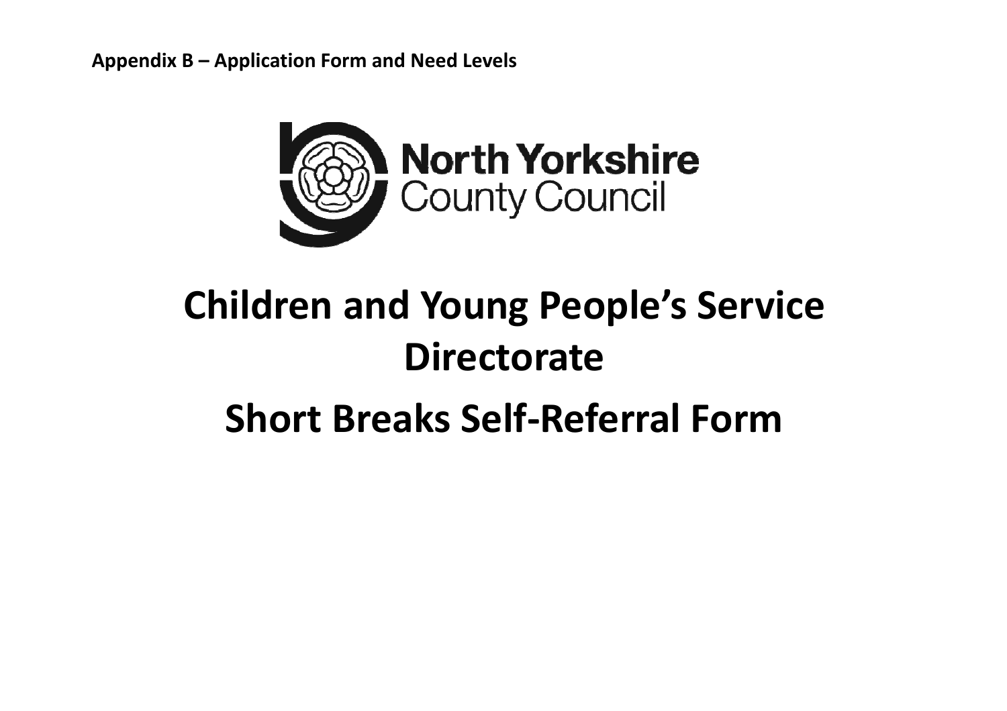**Appendix B – Application Form and Need Levels**



# **Children and Young People's Service Directorate**

# **Short Breaks Self‐Referral Form**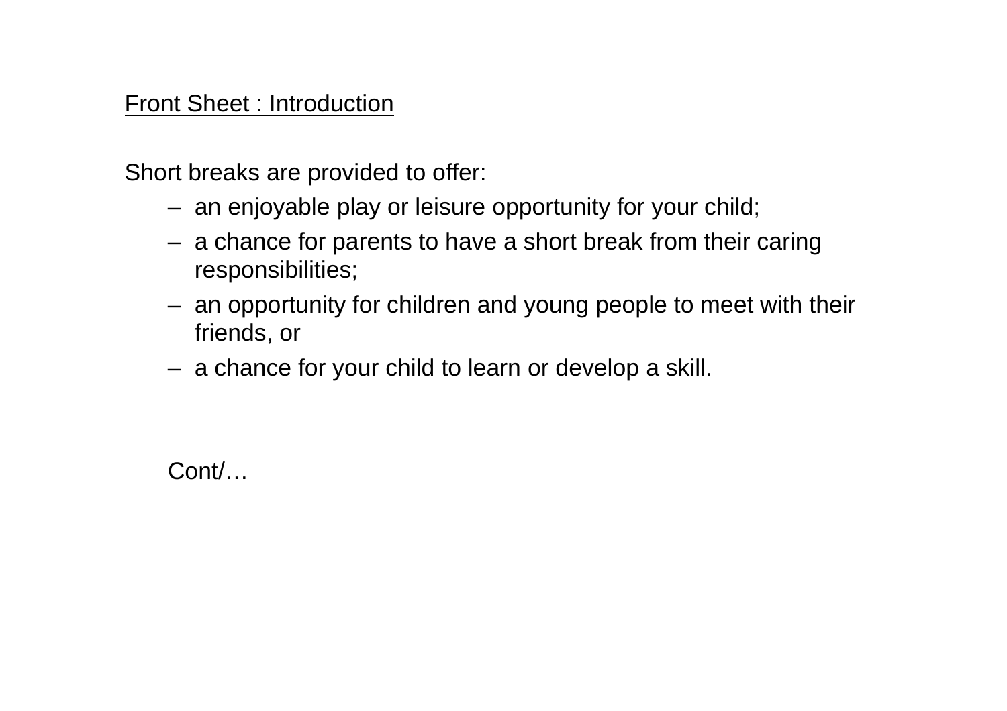### Front Sheet : Introduction

Short breaks are provided to offer:

- an enjoyable play or leisure opportunity for your child;
- a chance for parents to have a short break from their caring responsibilities;
- an opportunity for children and young people to meet with their friends, or
- a chance for your child to learn or develop a skill.

Cont/…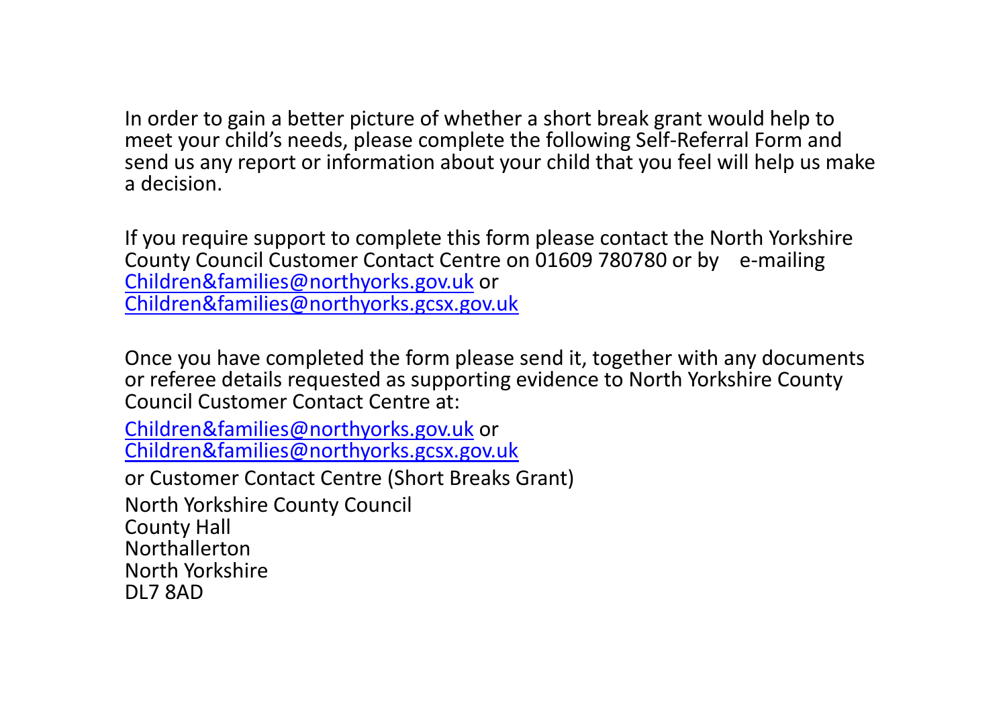In order to gain <sup>a</sup> better picture of whether <sup>a</sup> short break grant would help to meet your child's needs, please complete the following Self‐Referral Form and send us any report or information about your child that you feel will help us make a decision.

If you require support to complete this form please contact the North Yorkshire County Council Customer Contact Centre on 01609 780780 or by <sup>e</sup>‐mailing Children&families@northyorks.gov.uk or Children&families@northyorks.gcsx.gov.uk

Once you have completed the form please send it, together with any documents or referee details requested as supporting evidence to North Yorkshire County Council Customer Contact Centre at:

Children&families@northyorks.gov.uk or Children&families@northyorks.gcsx.gov.uk

or Customer Contact Centre (Short Breaks Grant)

North Yorkshire County Council County Hall NorthallertonNorth Yorkshire DL7 8AD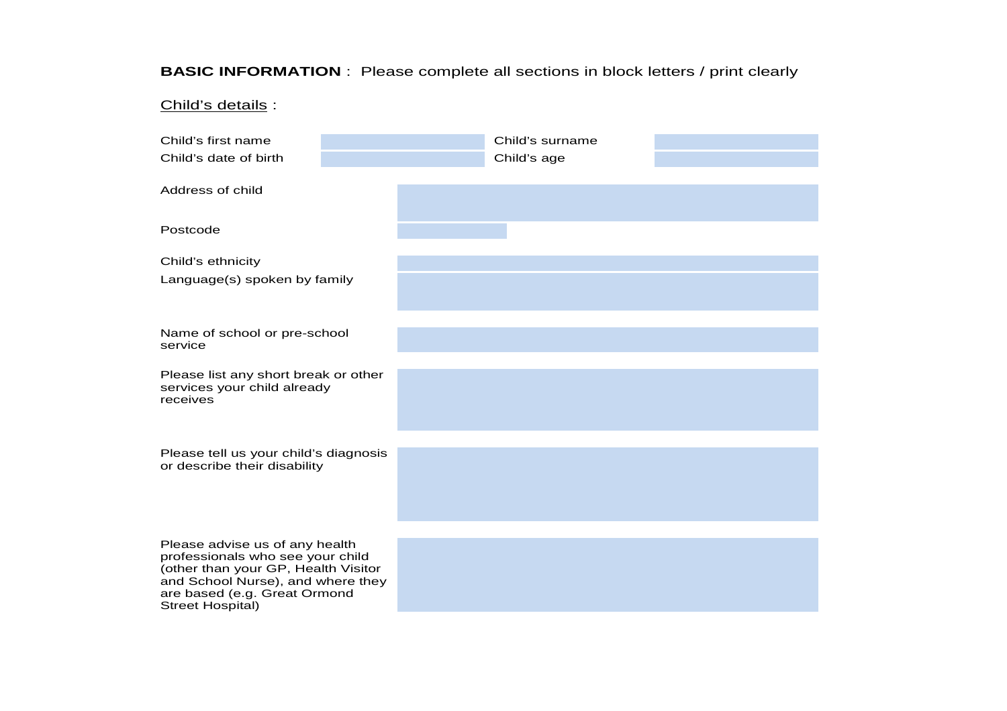#### **BASIC INFORMATION** : Please complete all sections in block letters / print clearly

#### Child's details :

| Child's first name                                                       | Child's surname |
|--------------------------------------------------------------------------|-----------------|
| Child's date of birth                                                    | Child's age     |
|                                                                          |                 |
| Address of child                                                         |                 |
|                                                                          |                 |
| Postcode                                                                 |                 |
| Child's ethnicity                                                        |                 |
| Language(s) spoken by family                                             |                 |
|                                                                          |                 |
|                                                                          |                 |
| Name of school or pre-school<br>service                                  |                 |
| Please list any short break or other                                     |                 |
| services your child already<br>receives                                  |                 |
|                                                                          |                 |
|                                                                          |                 |
| Please tell us your child's diagnosis                                    |                 |
| or describe their disability                                             |                 |
|                                                                          |                 |
|                                                                          |                 |
| Please advise us of any health                                           |                 |
| professionals who see your child                                         |                 |
| (other than your GP, Health Visitor<br>and School Nurse), and where they |                 |
| are based (e.g. Great Ormond<br><b>Street Hospital)</b>                  |                 |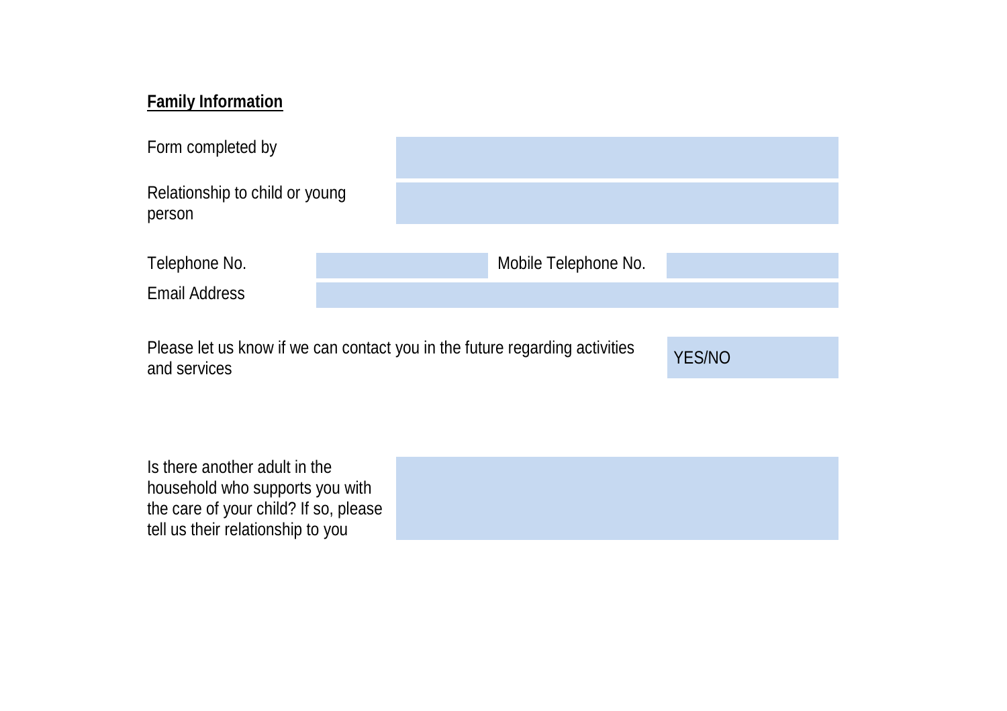### **Family Information**

| Form completed by                        |                                                                             |                      |               |  |  |  |  |
|------------------------------------------|-----------------------------------------------------------------------------|----------------------|---------------|--|--|--|--|
| Relationship to child or young<br>person |                                                                             |                      |               |  |  |  |  |
|                                          |                                                                             |                      |               |  |  |  |  |
| Telephone No.                            |                                                                             | Mobile Telephone No. |               |  |  |  |  |
| <b>Email Address</b>                     |                                                                             |                      |               |  |  |  |  |
|                                          |                                                                             |                      |               |  |  |  |  |
| and services                             | Please let us know if we can contact you in the future regarding activities |                      | <b>YES/NO</b> |  |  |  |  |

Is there another adult in the household who supports you with the care of your child? If so, please tell us their relationship to you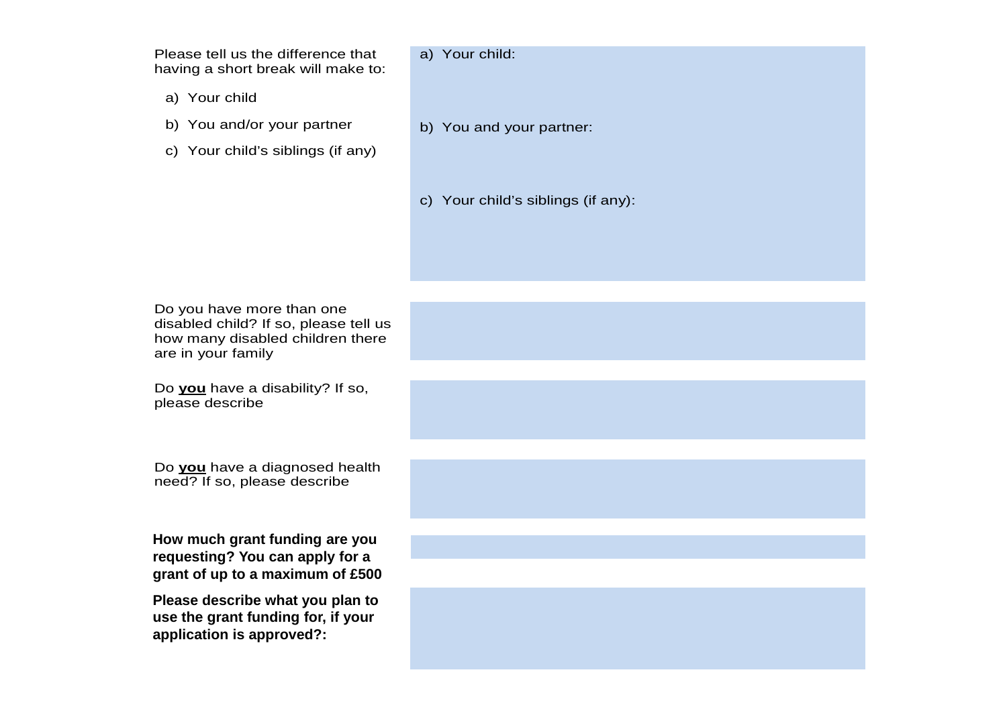Please tell us the difference that having a short break will make to:

- a) Your child
- b) You and/or your partner
- c) Your child's siblings (if any)

#### a) Your child:

- b) You and your partner:
- c) Your child's siblings (if any):

Do you have more than one disabled child? If so, please tell us how many disabled children there are in your family

Do **you** have a disability? If so, please describe

Do **you** have a diagnosed health need? If so, please describe

**How much grant funding are you requesting? You can apply for a grant of up to a maximum of £500**

**Please describe what you plan to use the grant funding for, if your application is approved?:**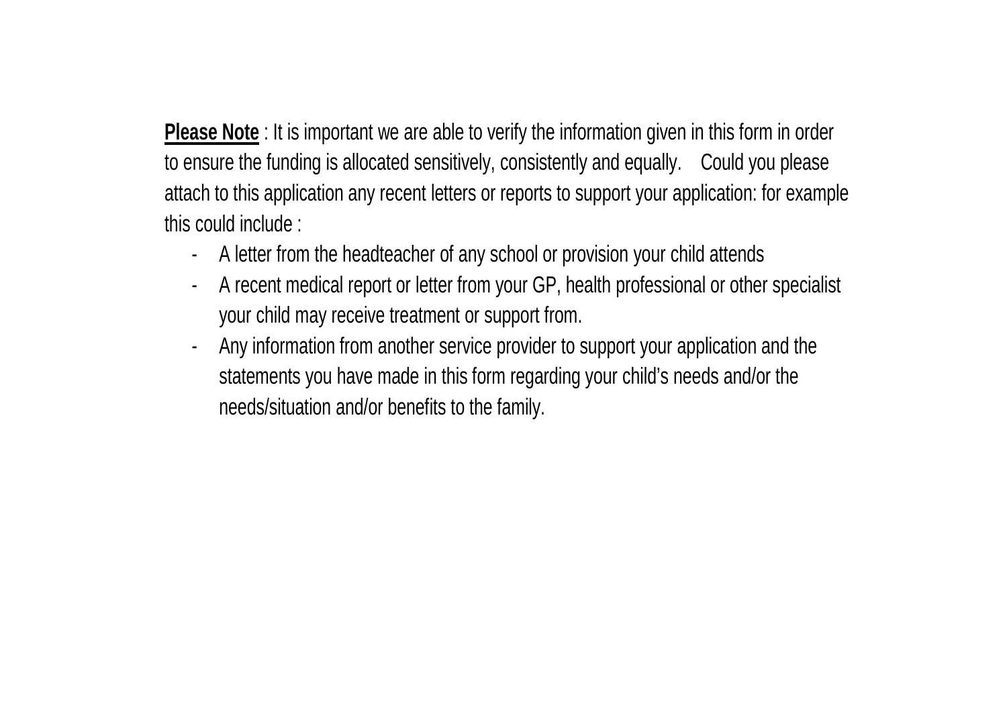**Please Note** : It is important we are able to verify the information given in this form in order to ensure the funding is allocated sensitively, consistently and equally. Could you please attach to this application any recent letters or reports to support your application: for example this could include :

- A letter from the headteacher of any school or provision your child attends
- A recent medical report or letter from your GP, health professional or other specialist your child may receive treatment or support from.
- Any information from another service provider to support your application and the statements you have made in this form regarding your child's needs and/or the needs/situation and/or benefits to the family.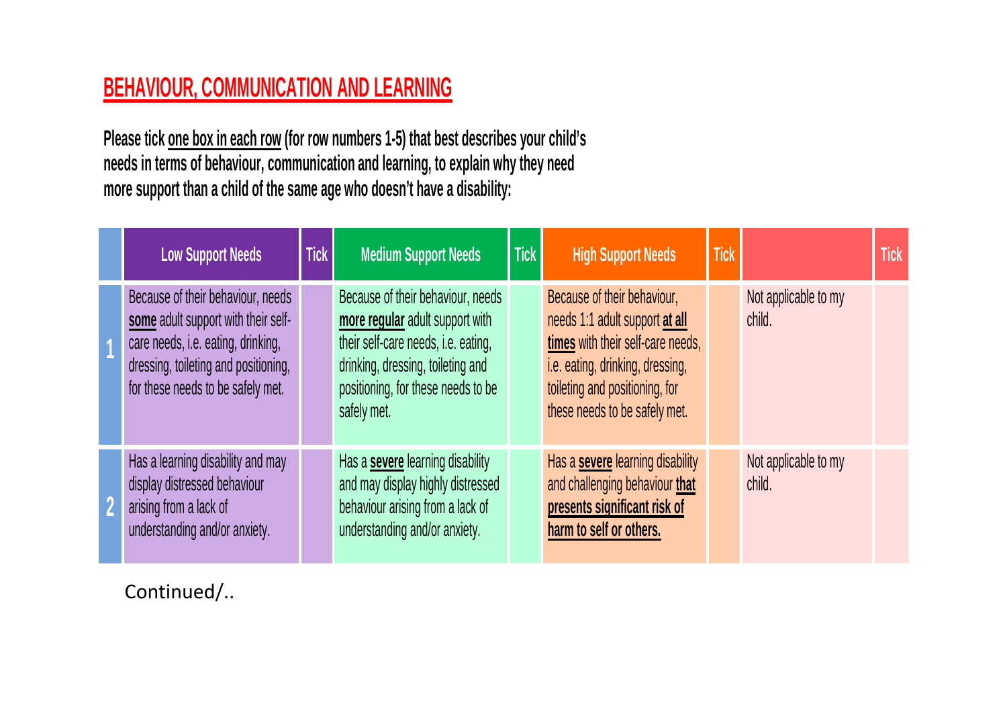## **BEHAVIOUR, COMMUNICATION AND LEARNING**

**Please tick one box in each row (for row numbers 1-5) that best describes your child's needs in terms of behaviour, communication and learning, to explain why they need more support than a child of the same age who doesn't have a disability:** 

| <b>Low Support Needs</b>                                                                                                                                                                    | <b>Tick</b> | <b>Medium Support Needs</b>                                                                                                                                                                           | <b>Tick</b> | <b>High Support Needs</b>                                                                                                                                                                                 | <b>Tick</b> |                                | <b>Tick</b> |
|---------------------------------------------------------------------------------------------------------------------------------------------------------------------------------------------|-------------|-------------------------------------------------------------------------------------------------------------------------------------------------------------------------------------------------------|-------------|-----------------------------------------------------------------------------------------------------------------------------------------------------------------------------------------------------------|-------------|--------------------------------|-------------|
| Because of their behaviour, needs<br>some adult support with their self-<br>care needs, i.e. eating, drinking,<br>dressing, toileting and positioning,<br>for these needs to be safely met. |             | Because of their behaviour, needs<br>more regular adult support with<br>their self-care needs, i.e. eating,<br>drinking, dressing, toileting and<br>positioning, for these needs to be<br>safely met. |             | Because of their behaviour,<br>needs 1:1 adult support at all<br>times with their self-care needs,<br>i.e. eating, drinking, dressing,<br>toileting and positioning, for<br>these needs to be safely met. |             | Not applicable to my<br>child. |             |
| Has a learning disability and may<br>display distressed behaviour<br>arising from a lack of<br>understanding and/or anxiety.                                                                |             | Has a <b>severe</b> learning disability<br>and may display highly distressed<br>behaviour arising from a lack of<br>understanding and/or anxiety.                                                     |             | Has a <b>severe</b> learning disability<br>and challenging behaviour that<br>presents significant risk of<br>harm to self or others.                                                                      |             | Not applicable to my<br>child. |             |

Continued/..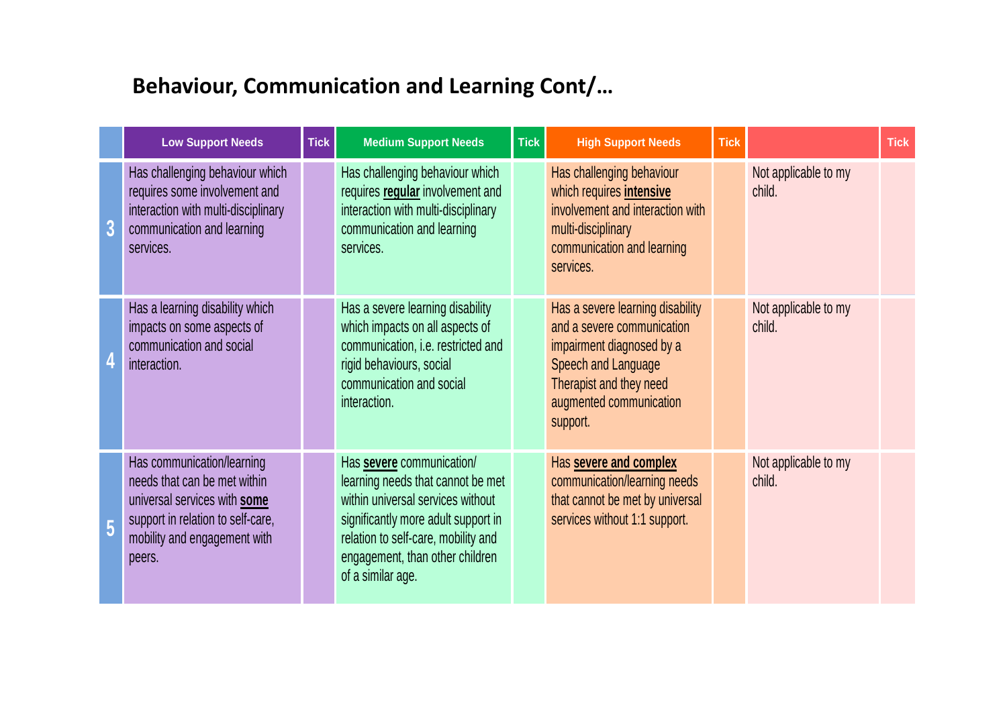### **Behaviour, Communication and Learning Cont/…**

|   | <b>Low Support Needs</b>                                                                                                                                                  | <b>Tick</b> | <b>Medium Support Needs</b>                                                                                                                                                                                                               | <b>Tick</b> | <b>High Support Needs</b>                                                                                                                                                            | <b>Tick</b> |                                | <b>Tick</b> |
|---|---------------------------------------------------------------------------------------------------------------------------------------------------------------------------|-------------|-------------------------------------------------------------------------------------------------------------------------------------------------------------------------------------------------------------------------------------------|-------------|--------------------------------------------------------------------------------------------------------------------------------------------------------------------------------------|-------------|--------------------------------|-------------|
| 3 | Has challenging behaviour which<br>requires some involvement and<br>interaction with multi-disciplinary<br>communication and learning<br>services.                        |             | Has challenging behaviour which<br>requires regular involvement and<br>interaction with multi-disciplinary<br>communication and learning<br>services.                                                                                     |             | Has challenging behaviour<br>which requires <b>intensive</b><br>involvement and interaction with<br>multi-disciplinary<br>communication and learning<br>services.                    |             | Not applicable to my<br>child. |             |
|   | Has a learning disability which<br>impacts on some aspects of<br>communication and social<br>interaction.                                                                 |             | Has a severe learning disability<br>which impacts on all aspects of<br>communication, i.e. restricted and<br>rigid behaviours, social<br>communication and social<br>interaction.                                                         |             | Has a severe learning disability<br>and a severe communication<br>impairment diagnosed by a<br>Speech and Language<br>Therapist and they need<br>augmented communication<br>support. |             | Not applicable to my<br>child. |             |
| 5 | Has communication/learning<br>needs that can be met within<br>universal services with some<br>support in relation to self-care,<br>mobility and engagement with<br>peers. |             | Has severe communication/<br>learning needs that cannot be met<br>within universal services without<br>significantly more adult support in<br>relation to self-care, mobility and<br>engagement, than other children<br>of a similar age. |             | Has severe and complex<br>communication/learning needs<br>that cannot be met by universal<br>services without 1:1 support.                                                           |             | Not applicable to my<br>child. |             |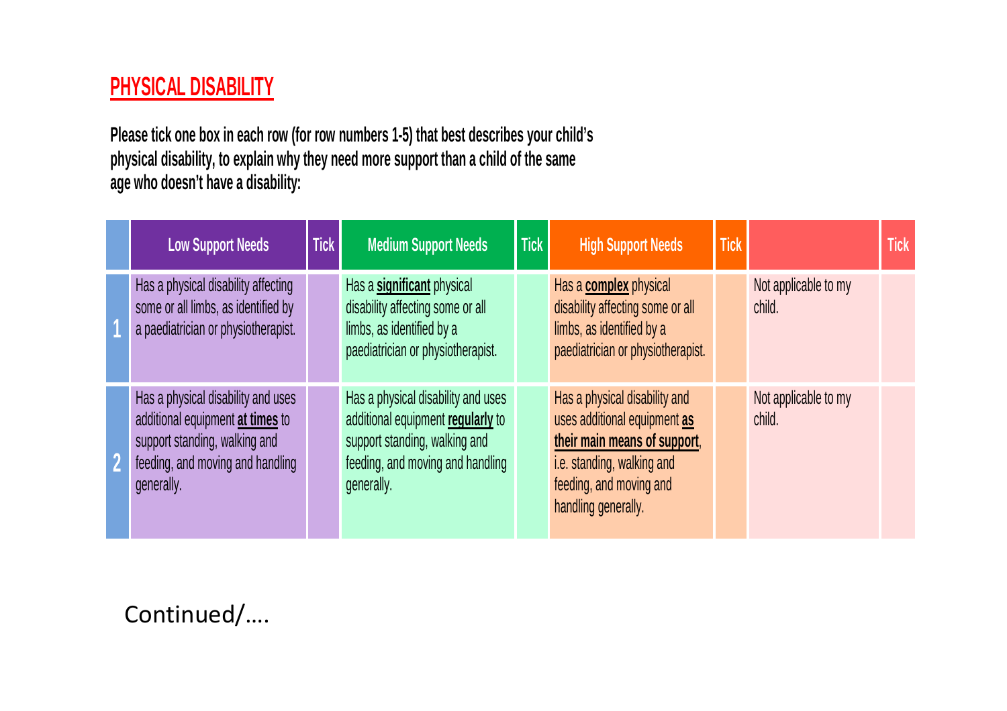### **PHYSICAL DISABILITY**

**Please tick one box in each row (for row numbers 1-5) that best describes your child's physical disability, to explain why they need more support than a child of the same age who doesn't have a disability:** 

|                         | <b>Low Support Needs</b>                                                                                                                                  | <b>Tick</b> | <b>Medium Support Needs</b>                                                                                                                                | <b>Tick</b> | <b>High Support Needs</b>                                                                                                                                                     | <b>Tick</b> |                                | <b>Tick</b> |
|-------------------------|-----------------------------------------------------------------------------------------------------------------------------------------------------------|-------------|------------------------------------------------------------------------------------------------------------------------------------------------------------|-------------|-------------------------------------------------------------------------------------------------------------------------------------------------------------------------------|-------------|--------------------------------|-------------|
|                         | Has a physical disability affecting<br>some or all limbs, as identified by<br>a paediatrician or physiotherapist.                                         |             | Has a significant physical<br>disability affecting some or all<br>limbs, as identified by a<br>paediatrician or physiotherapist.                           |             | Has a <b>complex</b> physical<br>disability affecting some or all<br>limbs, as identified by a<br>paediatrician or physiotherapist.                                           |             | Not applicable to my<br>child. |             |
| $\overline{\mathbf{2}}$ | Has a physical disability and uses<br>additional equipment at times to<br>support standing, walking and<br>feeding, and moving and handling<br>generally. |             | Has a physical disability and uses<br>additional equipment regularly to<br>support standing, walking and<br>feeding, and moving and handling<br>generally. |             | Has a physical disability and<br>uses additional equipment as<br>their main means of support,<br>i.e. standing, walking and<br>feeding, and moving and<br>handling generally. |             | Not applicable to my<br>child. |             |

Continued/….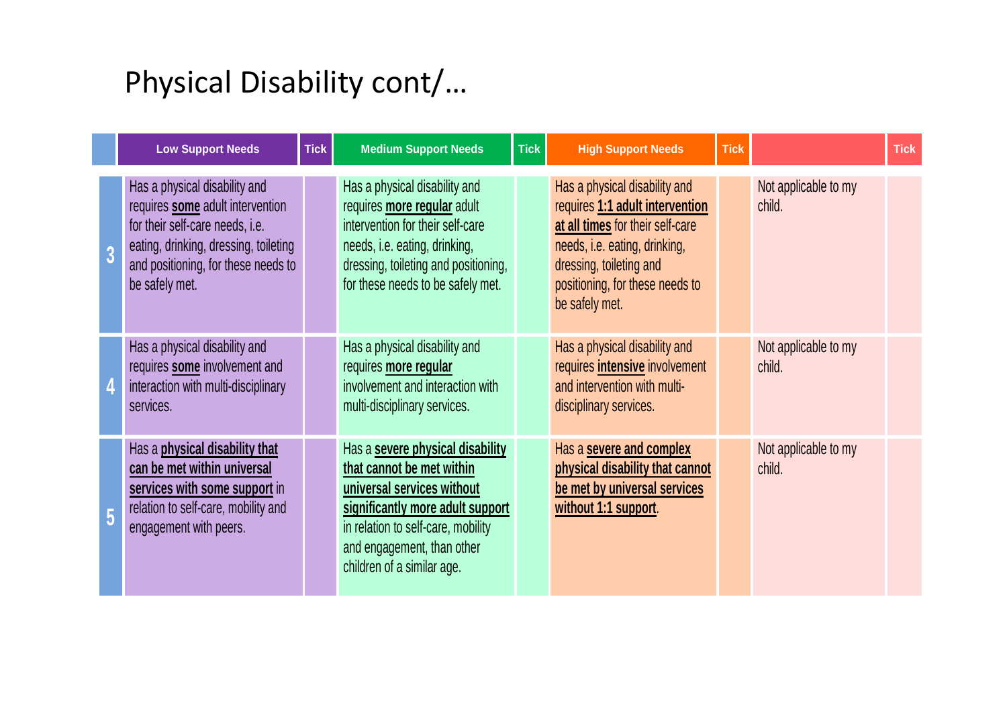# Physical Disability cont/…

|                | <b>Low Support Needs</b>                                                                                                                                                                               | <b>Tick</b> | <b>Medium Support Needs</b>                                                                                                                                                                                                       | <b>Tick</b> | <b>High Support Needs</b>                                                                                                                                                                                             | <b>Tick</b> |                                | <b>Tick</b> |
|----------------|--------------------------------------------------------------------------------------------------------------------------------------------------------------------------------------------------------|-------------|-----------------------------------------------------------------------------------------------------------------------------------------------------------------------------------------------------------------------------------|-------------|-----------------------------------------------------------------------------------------------------------------------------------------------------------------------------------------------------------------------|-------------|--------------------------------|-------------|
| $\overline{3}$ | Has a physical disability and<br>requires some adult intervention<br>for their self-care needs, i.e.<br>eating, drinking, dressing, toileting<br>and positioning, for these needs to<br>be safely met. |             | Has a physical disability and<br>requires more regular adult<br>intervention for their self-care<br>needs, i.e. eating, drinking,<br>dressing, toileting and positioning,<br>for these needs to be safely met.                    |             | Has a physical disability and<br>requires 1:1 adult intervention<br>at all times for their self-care<br>needs, i.e. eating, drinking,<br>dressing, toileting and<br>positioning, for these needs to<br>be safely met. |             | Not applicable to my<br>child. |             |
|                | Has a physical disability and<br>requires some involvement and<br>interaction with multi-disciplinary<br>services.                                                                                     |             | Has a physical disability and<br>requires more regular<br>involvement and interaction with<br>multi-disciplinary services.                                                                                                        |             | Has a physical disability and<br>requires <i>intensive</i> involvement<br>and intervention with multi-<br>disciplinary services.                                                                                      |             | Not applicable to my<br>child. |             |
| $\overline{5}$ | Has a physical disability that<br>can be met within universal<br>services with some support in<br>relation to self-care, mobility and<br>engagement with peers.                                        |             | Has a severe physical disability<br>that cannot be met within<br>universal services without<br>significantly more adult support<br>in relation to self-care, mobility<br>and engagement, than other<br>children of a similar age. |             | Has a severe and complex<br>physical disability that cannot<br>be met by universal services<br>without 1:1 support.                                                                                                   |             | Not applicable to my<br>child. |             |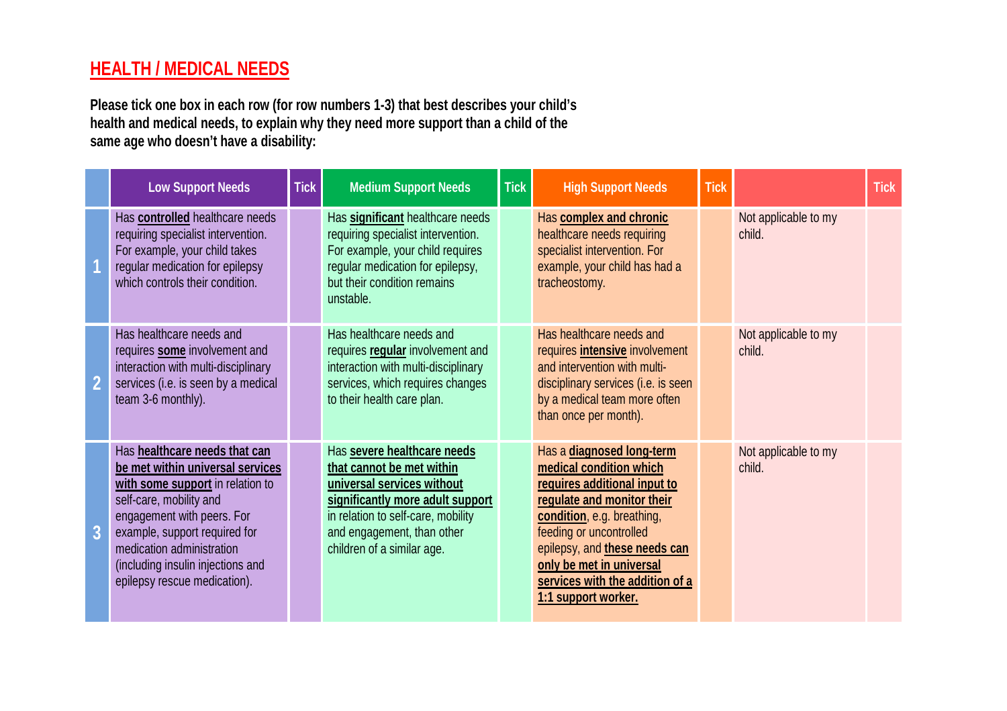### **HEALTH / MEDICAL NEEDS**

**Please tick one box in each row (for row numbers 1-3) that best describes your child's health and medical needs, to explain why they need more support than a child of the same age who doesn't have a disability:** 

|                | <b>Low Support Needs</b>                                                                                                                                                                                                                                                                          | <b>Tick</b> | <b>Medium Support Needs</b>                                                                                                                                                                                                  | <b>Tick</b> | <b>High Support Needs</b>                                                                                                                                                                                                                                                                          | <b>Tick</b> |                                | <b>Tick</b> |
|----------------|---------------------------------------------------------------------------------------------------------------------------------------------------------------------------------------------------------------------------------------------------------------------------------------------------|-------------|------------------------------------------------------------------------------------------------------------------------------------------------------------------------------------------------------------------------------|-------------|----------------------------------------------------------------------------------------------------------------------------------------------------------------------------------------------------------------------------------------------------------------------------------------------------|-------------|--------------------------------|-------------|
|                | Has controlled healthcare needs<br>requiring specialist intervention.<br>For example, your child takes<br>regular medication for epilepsy<br>which controls their condition.                                                                                                                      |             | Has significant healthcare needs<br>requiring specialist intervention.<br>For example, your child requires<br>regular medication for epilepsy,<br>but their condition remains<br>unstable.                                   |             | Has complex and chronic<br>healthcare needs requiring<br>specialist intervention. For<br>example, your child has had a<br>tracheostomy.                                                                                                                                                            |             | Not applicable to my<br>child. |             |
|                | Has healthcare needs and<br>requires some involvement and<br>interaction with multi-disciplinary<br>services (i.e. is seen by a medical<br>team 3-6 monthly).                                                                                                                                     |             | Has healthcare needs and<br>requires regular involvement and<br>interaction with multi-disciplinary<br>services, which requires changes<br>to their health care plan.                                                        |             | Has healthcare needs and<br>requires <i>intensive</i> involvement<br>and intervention with multi-<br>disciplinary services (i.e. is seen<br>by a medical team more often<br>than once per month).                                                                                                  |             | Not applicable to my<br>child. |             |
| $\overline{3}$ | Has healthcare needs that can<br>be met within universal services<br>with some support in relation to<br>self-care, mobility and<br>engagement with peers. For<br>example, support required for<br>medication administration<br>(including insulin injections and<br>epilepsy rescue medication). |             | Has severe healthcare needs<br>that cannot be met within<br>universal services without<br>significantly more adult support<br>in relation to self-care, mobility<br>and engagement, than other<br>children of a similar age. |             | Has a diagnosed long-term<br>medical condition which<br>requires additional input to<br>regulate and monitor their<br>condition, e.g. breathing,<br>feeding or uncontrolled<br>epilepsy, and these needs can<br>only be met in universal<br>services with the addition of a<br>1:1 support worker. |             | Not applicable to my<br>child. |             |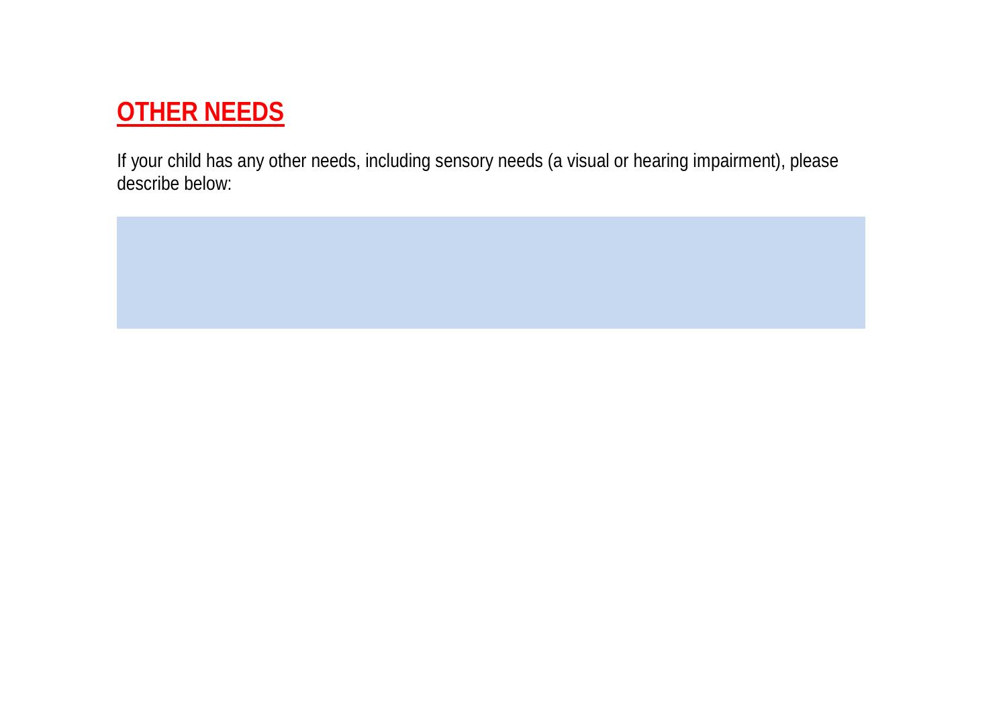## **OTHER NEEDS**

If your child has any other needs, including sensory needs (a visual or hearing impairment), please describe below: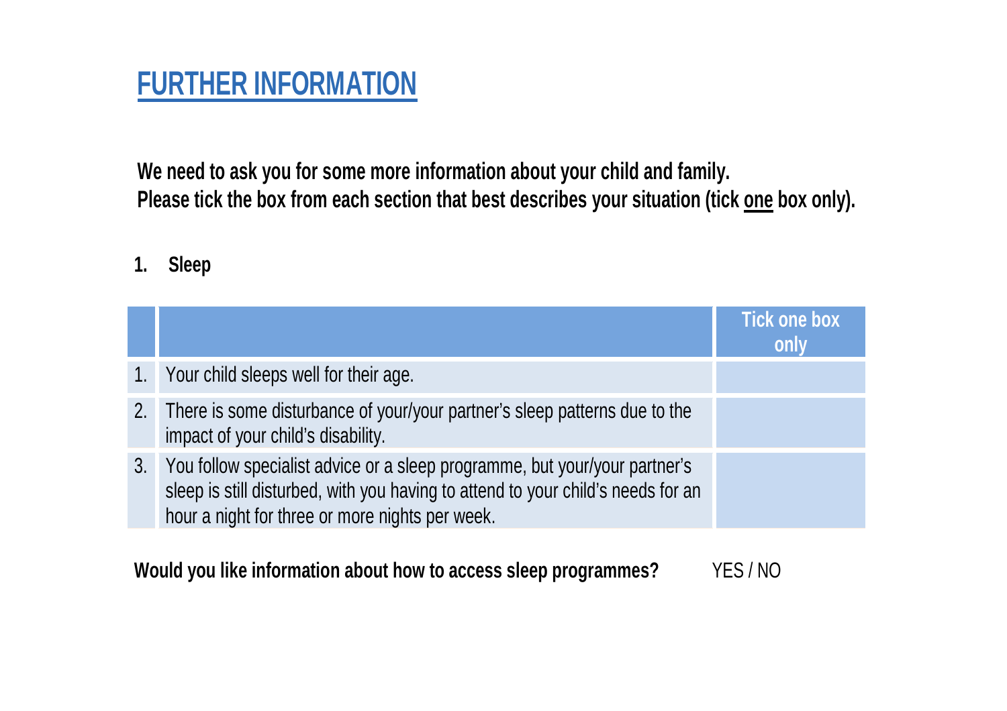# **FURTHER INFORMATION**

**We need to ask you for some more information about your child and family.**  Please tick the box from each section that best describes your situation (tick one box only).

### **1. Sleep**

|                |                                                                                                                                                                                                                   | <b>Tick one box</b><br>only |
|----------------|-------------------------------------------------------------------------------------------------------------------------------------------------------------------------------------------------------------------|-----------------------------|
|                | 1. Your child sleeps well for their age.                                                                                                                                                                          |                             |
|                | 2. There is some disturbance of your/your partner's sleep patterns due to the<br>impact of your child's disability.                                                                                               |                             |
| 3 <sub>1</sub> | You follow specialist advice or a sleep programme, but your/your partner's<br>sleep is still disturbed, with you having to attend to your child's needs for an<br>hour a night for three or more nights per week. |                             |

**Would you like information about how to access sleep programmes?** YES / NO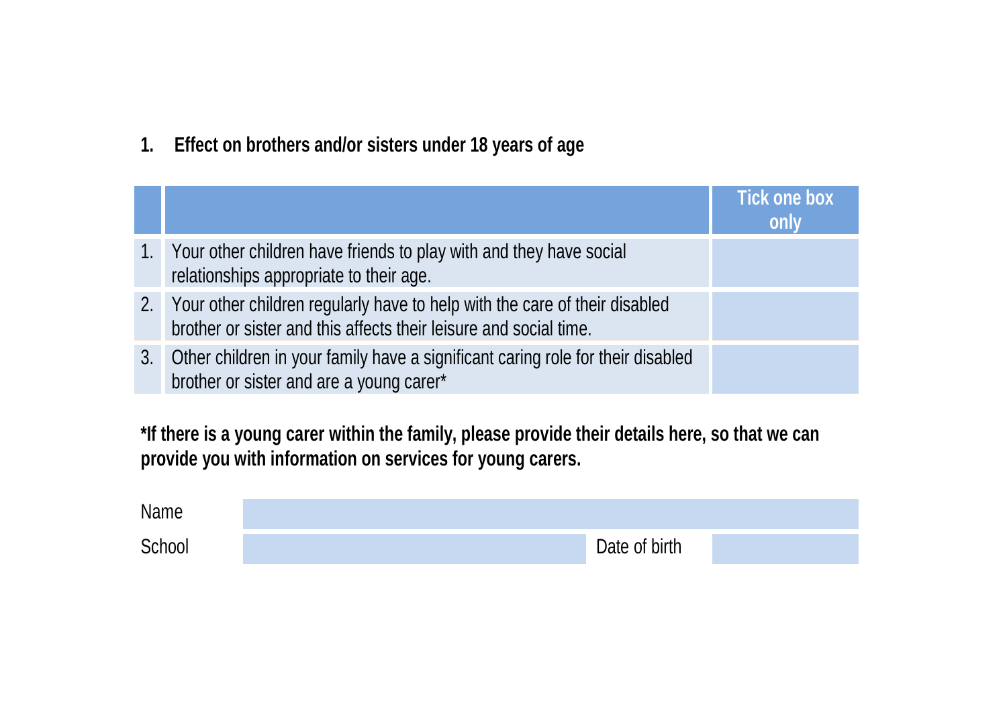**1. Effect on brothers and/or sisters under 18 years of age** 

|             |                                                                                                                                                    | <b>Tick one box</b><br>only |
|-------------|----------------------------------------------------------------------------------------------------------------------------------------------------|-----------------------------|
| $1_{\cdot}$ | Your other children have friends to play with and they have social<br>relationships appropriate to their age.                                      |                             |
|             | 2. Your other children regularly have to help with the care of their disabled<br>brother or sister and this affects their leisure and social time. |                             |
| 3.          | Other children in your family have a significant caring role for their disabled<br>brother or sister and are a young carer*                        |                             |

**\*If there is a young carer within the family, please provide their details here, so that we can provide you with information on services for young carers.** 

| Name   |               |  |
|--------|---------------|--|
| School | Date of birth |  |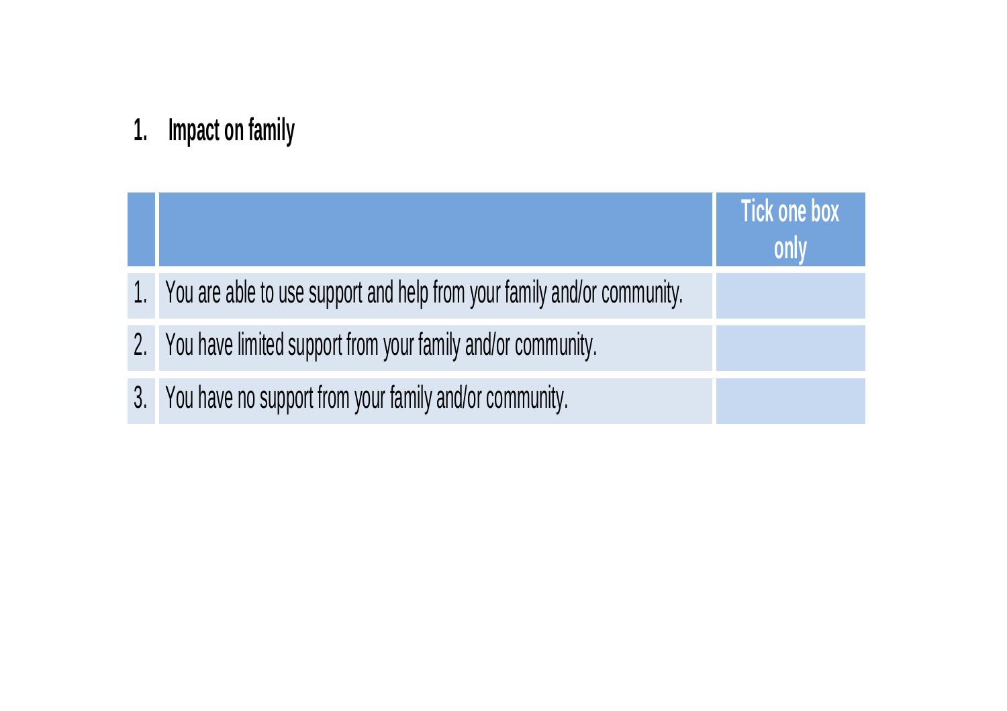# **1. Impact on family**

|                                                                            | <b>Tick one box</b><br>only |
|----------------------------------------------------------------------------|-----------------------------|
| 1. You are able to use support and help from your family and/or community. |                             |
| 2. You have limited support from your family and/or community.             |                             |
| 3. You have no support from your family and/or community.                  |                             |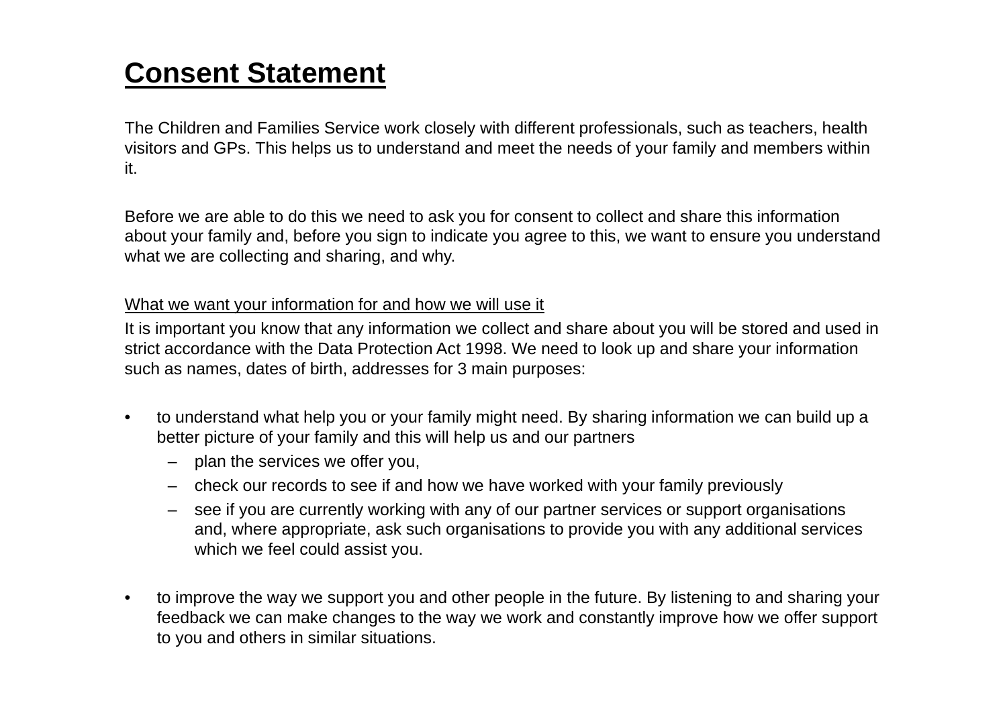# **Consent Statement**

The Children and Families Service work closely with different professionals, such as teachers, health visitors and GPs. This helps us to understand and meet the needs of your family and members within it.

Before we are able to do this we need to ask you for consent to collect and share this information about your family and, before you sign to indicate you agree to this, we want to ensure you understand what we are collecting and sharing, and why.

#### What we want your information for and how we will use it

It is important you know that any information we collect and share about you will be stored and used in strict accordance with the Data Protection Act 1998. We need to look up and share your information such as names, dates of birth, addresses for 3 main purposes:

- • to understand what help you or your family might need. By sharing information we can build up a better picture of your family and this will help us and our partners
	- plan the services we offer you,
	- check our records to see if and how we have worked with your family previously
	- see if you are currently working with any of our partner services or support organisations and, where appropriate, ask such organisations to provide you with any additional services which we feel could assist you.
- $\bullet$  to improve the way we support you and other people in the future. By listening to and sharing your feedback we can make changes to the way we work and constantly improve how we offer support to you and others in similar situations.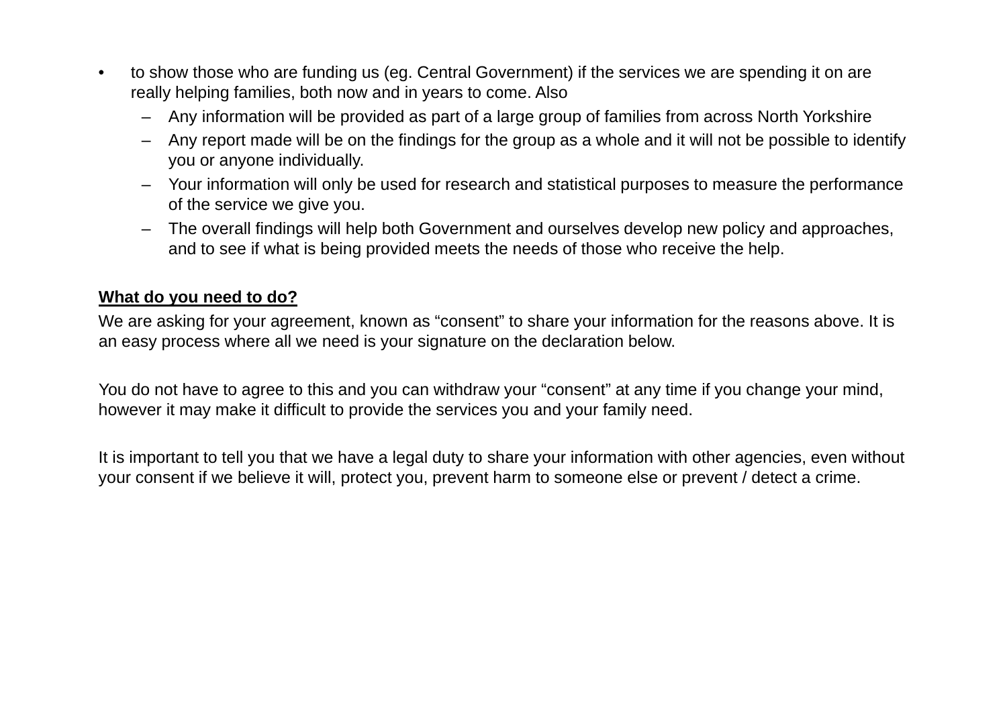- $\bullet$  to show those who are funding us (eg. Central Government) if the services we are spending it on are really helping families, both now and in years to come. Also
	- –Any information will be provided as part of a large group of families from across North Yorkshire
	- Any report made will be on the findings for the group as a whole and it will not be possible to identify you or anyone individually.
	- Your information will only be used for research and statistical purposes to measure the performance of the service we give you.
	- – The overall findings will help both Government and ourselves develop new policy and approaches, and to see if what is being provided meets the needs of those who receive the help.

#### **What do you need to do?**

We are asking for your agreement, known as "consent" to share your information for the reasons above. It is an easy process where all we need is your signature on the declaration below.

You do not have to agree to this and you can withdraw your "consent" at any time if you change your mind, however it may make it difficult to provide the services you and your family need.

It is important to tell you that we have a legal duty to share your information with other agencies, even without your consent if we believe it will, protect you, prevent harm to someone else or prevent / detect a crime.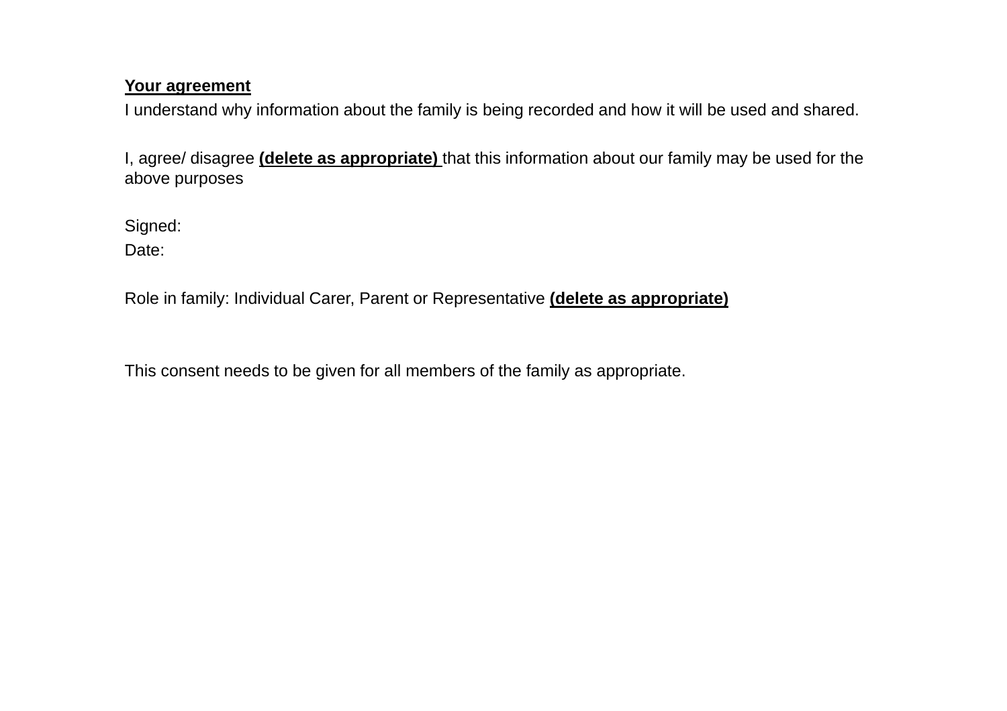#### **Your agreement**

I understand why information about the family is being recorded and how it will be used and shared.

I, agree/ disagree **(delete as appropriate)** that this information about our family may be used for the above purposes

Signed:

Date:

Role in family: Individual Carer, Parent or Representative **(delete as appropriate)**

This consent needs to be given for all members of the family as appropriate.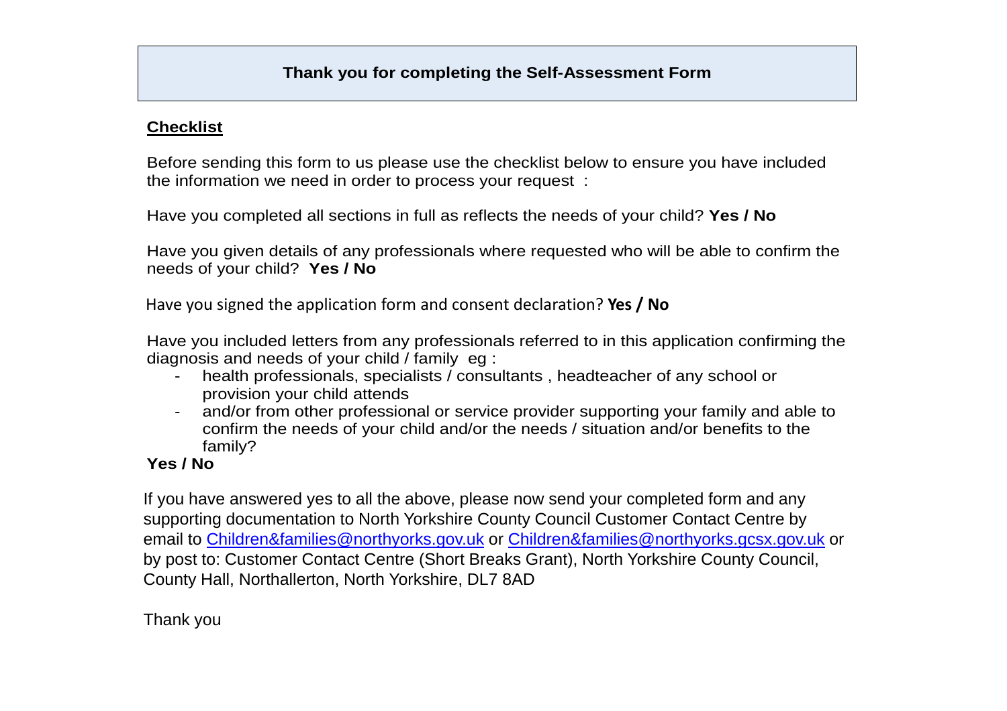#### **Checklist**

Before sending this form to us please use the checklist below to ensure you have included the information we need in order to process your request :

Have you completed all sections in full as reflects the needs of your child? **Yes / No** 

Have you given details of any professionals where requested who will be able to confirm the needs of your child? **Yes / No**

Have you signed the application form and consent declaration? **Yes / No**

Have you included letters from any professionals referred to in this application confirming the diagnosis and needs of your child / family eg :

- health professionals, specialists / consultants, headteacher of any school or provision your child attends
- and/or from other professional or service provider supporting your family and able to confirm the needs of your child and/or the needs / situation and/or benefits to the family?

#### **Yes / No**

If you have answered yes to all the above, please now send your completed form and any supporting documentation to North Yorkshire County Council Customer Contact Centre by email to Children&families@northyorks.gov.uk or Children&families@northyorks.gcsx.gov.uk or by post to: Customer Contact Centre (Short Breaks Grant), North Yorkshire County Council, County Hall, Northallerton, North Yorkshire, DL7 8AD

Thank you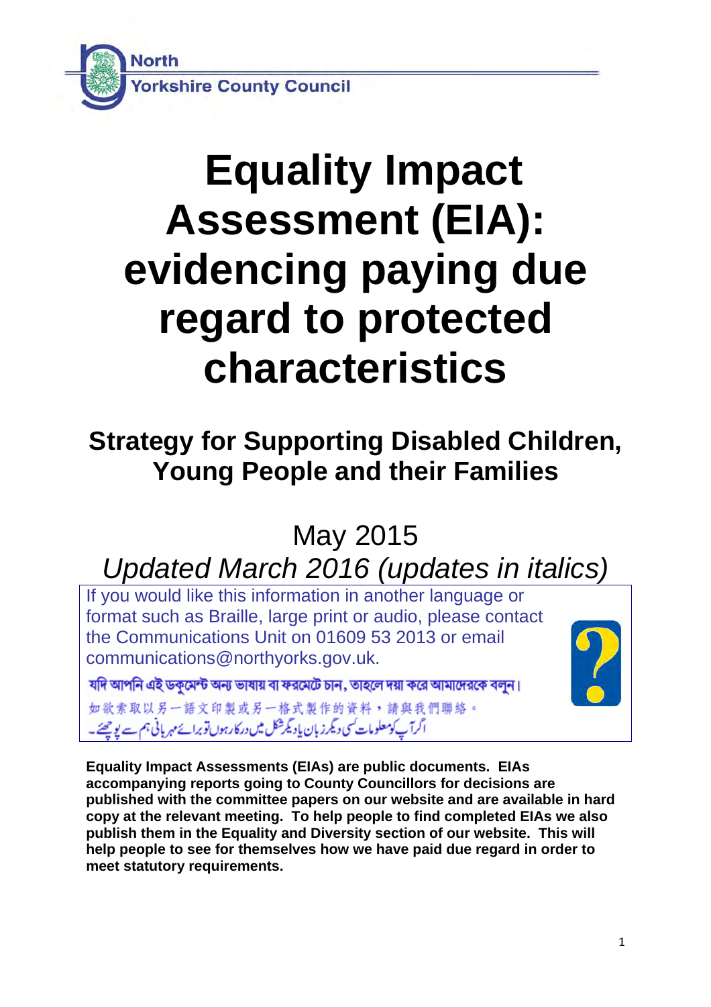

# **Equality Impact Assessment (EIA): evidencing paying due regard to protected characteristics**

## **Strategy for Supporting Disabled Children, Young People and their Families**

May 2015

*Updated March 2016 (updates in italics)*

If you would like this information in another language or format such as Braille, large print or audio, please contact the Communications Unit on 01609 53 2013 or email communications@northyorks.gov.uk.

যদি আপনি এই ডকুমেন্ট অন্য ভাষায় বা ফরমেটে চান, তাহলে দয়া করে আমাদেরকে বলুন।

如欲索取以另一語文印製或另一格式製作的資料,請與我們聯絡。 ا گرآپ کومعلومات کسی دیگرز بان یادیگرشکل میں درکارہوں توبرائے مہر پانی ہم سے یو چھئے۔

**Equality Impact Assessments (EIAs) are public documents. EIAs accompanying reports going to County Councillors for decisions are published with the committee papers on our website and are available in hard copy at the relevant meeting. To help people to find completed EIAs we also publish them in the Equality and Diversity section of our website. This will help people to see for themselves how we have paid due regard in order to meet statutory requirements.**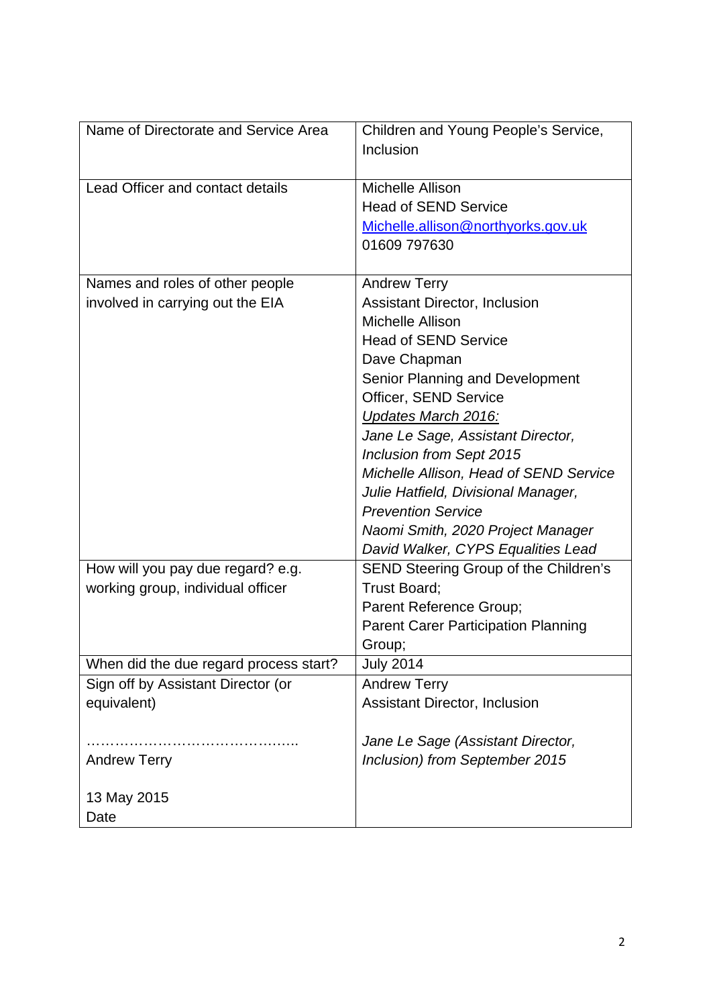| Name of Directorate and Service Area   | Children and Young People's Service,       |
|----------------------------------------|--------------------------------------------|
|                                        | Inclusion                                  |
|                                        |                                            |
| Lead Officer and contact details       | Michelle Allison                           |
|                                        | <b>Head of SEND Service</b>                |
|                                        | Michelle.allison@northyorks.gov.uk         |
|                                        | 01609 797630                               |
|                                        |                                            |
| Names and roles of other people        | <b>Andrew Terry</b>                        |
| involved in carrying out the EIA       | <b>Assistant Director, Inclusion</b>       |
|                                        | Michelle Allison                           |
|                                        | <b>Head of SEND Service</b>                |
|                                        | Dave Chapman                               |
|                                        | Senior Planning and Development            |
|                                        | Officer, SEND Service                      |
|                                        | Updates March 2016:                        |
|                                        | Jane Le Sage, Assistant Director,          |
|                                        | Inclusion from Sept 2015                   |
|                                        | Michelle Allison, Head of SEND Service     |
|                                        | Julie Hatfield, Divisional Manager,        |
|                                        | <b>Prevention Service</b>                  |
|                                        | Naomi Smith, 2020 Project Manager          |
|                                        | David Walker, CYPS Equalities Lead         |
| How will you pay due regard? e.g.      | SEND Steering Group of the Children's      |
| working group, individual officer      | Trust Board;                               |
|                                        | Parent Reference Group;                    |
|                                        | <b>Parent Carer Participation Planning</b> |
|                                        | Group;                                     |
| When did the due regard process start? | <b>July 2014</b>                           |
| Sign off by Assistant Director (or     | <b>Andrew Terry</b>                        |
| equivalent)                            | <b>Assistant Director, Inclusion</b>       |
|                                        |                                            |
|                                        | Jane Le Sage (Assistant Director,          |
| <b>Andrew Terry</b>                    | Inclusion) from September 2015             |
|                                        |                                            |
| 13 May 2015                            |                                            |
| Date                                   |                                            |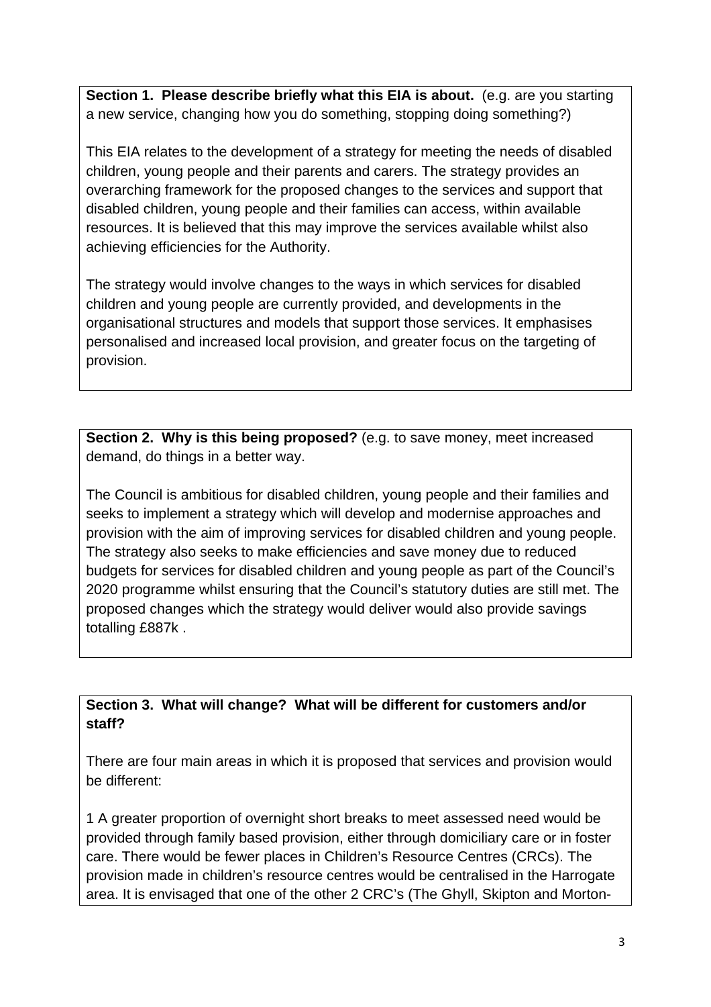**Section 1. Please describe briefly what this EIA is about.** (e.g. are you starting a new service, changing how you do something, stopping doing something?)

This EIA relates to the development of a strategy for meeting the needs of disabled children, young people and their parents and carers. The strategy provides an overarching framework for the proposed changes to the services and support that disabled children, young people and their families can access, within available resources. It is believed that this may improve the services available whilst also achieving efficiencies for the Authority.

The strategy would involve changes to the ways in which services for disabled children and young people are currently provided, and developments in the organisational structures and models that support those services. It emphasises personalised and increased local provision, and greater focus on the targeting of provision.

**Section 2. Why is this being proposed?** (e.g. to save money, meet increased demand, do things in a better way.

The Council is ambitious for disabled children, young people and their families and seeks to implement a strategy which will develop and modernise approaches and provision with the aim of improving services for disabled children and young people. The strategy also seeks to make efficiencies and save money due to reduced budgets for services for disabled children and young people as part of the Council's 2020 programme whilst ensuring that the Council's statutory duties are still met. The proposed changes which the strategy would deliver would also provide savings totalling £887k .

#### **Section 3. What will change? What will be different for customers and/or staff?**

There are four main areas in which it is proposed that services and provision would be different:

1 A greater proportion of overnight short breaks to meet assessed need would be provided through family based provision, either through domiciliary care or in foster care. There would be fewer places in Children's Resource Centres (CRCs). The provision made in children's resource centres would be centralised in the Harrogate area. It is envisaged that one of the other 2 CRC's (The Ghyll, Skipton and Morton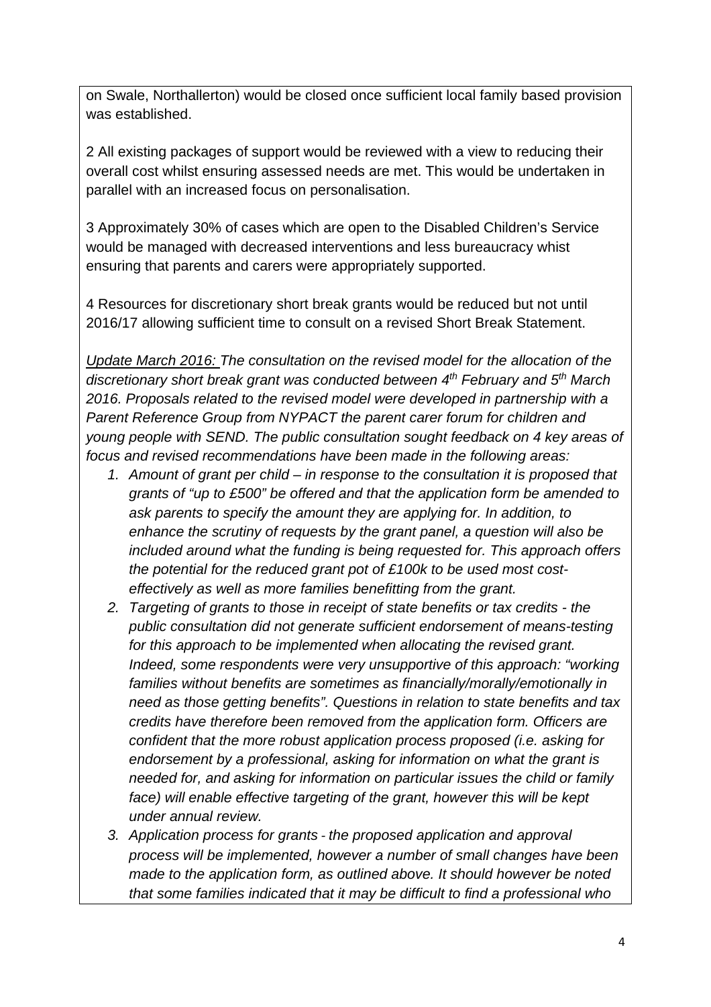on Swale, Northallerton) would be closed once sufficient local family based provision was established.

2 All existing packages of support would be reviewed with a view to reducing their overall cost whilst ensuring assessed needs are met. This would be undertaken in parallel with an increased focus on personalisation.

3 Approximately 30% of cases which are open to the Disabled Children's Service would be managed with decreased interventions and less bureaucracy whist ensuring that parents and carers were appropriately supported.

4 Resources for discretionary short break grants would be reduced but not until 2016/17 allowing sufficient time to consult on a revised Short Break Statement.

*Update March 2016: The consultation on the revised model for the allocation of the discretionary short break grant was conducted between 4th February and 5th March 2016. Proposals related to the revised model were developed in partnership with a Parent Reference Group from NYPACT the parent carer forum for children and young people with SEND. The public consultation sought feedback on 4 key areas of focus and revised recommendations have been made in the following areas:* 

- *1. Amount of grant per child in response to the consultation it is proposed that grants of "up to £500" be offered and that the application form be amended to ask parents to specify the amount they are applying for. In addition, to enhance the scrutiny of requests by the grant panel, a question will also be included around what the funding is being requested for. This approach offers the potential for the reduced grant pot of £100k to be used most costeffectively as well as more families benefitting from the grant.*
- *2. Targeting of grants to those in receipt of state benefits or tax credits the public consultation did not generate sufficient endorsement of means-testing for this approach to be implemented when allocating the revised grant. Indeed, some respondents were very unsupportive of this approach: "working families without benefits are sometimes as financially/morally/emotionally in need as those getting benefits". Questions in relation to state benefits and tax credits have therefore been removed from the application form. Officers are confident that the more robust application process proposed (i.e. asking for endorsement by a professional, asking for information on what the grant is needed for, and asking for information on particular issues the child or family face) will enable effective targeting of the grant, however this will be kept under annual review.*
- *3. Application process for grants ‐ the proposed application and approval process will be implemented, however a number of small changes have been made to the application form, as outlined above. It should however be noted that some families indicated that it may be difficult to find a professional who*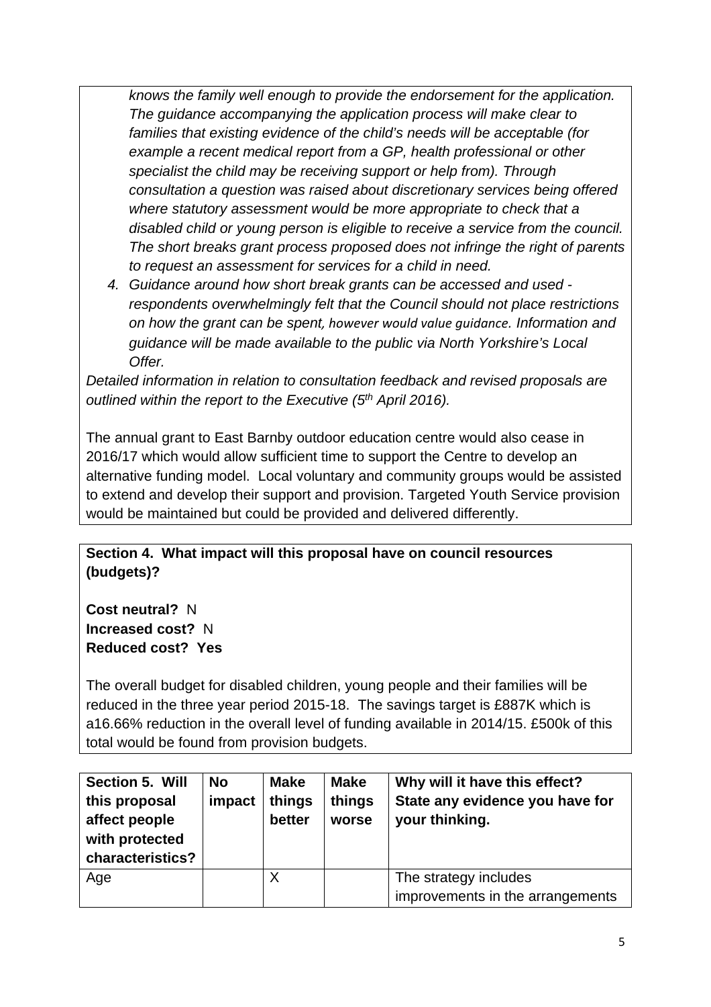*knows the family well enough to provide the endorsement for the application. The guidance accompanying the application process will make clear to families that existing evidence of the child's needs will be acceptable (for example a recent medical report from a GP, health professional or other specialist the child may be receiving support or help from). Through consultation a question was raised about discretionary services being offered where statutory assessment would be more appropriate to check that a disabled child or young person is eligible to receive a service from the council. The short breaks grant process proposed does not infringe the right of parents to request an assessment for services for a child in need.* 

*4. Guidance around how short break grants can be accessed and used respondents overwhelmingly felt that the Council should not place restrictions on how the grant can be spent, however would value guidance. Information and guidance will be made available to the public via North Yorkshire's Local Offer.* 

*Detailed information in relation to consultation feedback and revised proposals are*  outlined within the report to the Executive (5<sup>th</sup> April 2016).

The annual grant to East Barnby outdoor education centre would also cease in 2016/17 which would allow sufficient time to support the Centre to develop an alternative funding model. Local voluntary and community groups would be assisted to extend and develop their support and provision. Targeted Youth Service provision would be maintained but could be provided and delivered differently.

#### **Section 4. What impact will this proposal have on council resources (budgets)?**

**Cost neutral?** N **Increased cost?** N **Reduced cost? Yes** 

The overall budget for disabled children, young people and their families will be reduced in the three year period 2015-18. The savings target is £887K which is a16.66% reduction in the overall level of funding available in 2014/15. £500k of this total would be found from provision budgets.

| Section 5. Will<br>this proposal<br>affect people<br>with protected<br>characteristics? | <b>No</b><br>impact | <b>Make</b><br>things<br>better | <b>Make</b><br>things<br>worse | Why will it have this effect?<br>State any evidence you have for<br>your thinking. |
|-----------------------------------------------------------------------------------------|---------------------|---------------------------------|--------------------------------|------------------------------------------------------------------------------------|
| Age                                                                                     |                     | Χ                               |                                | The strategy includes<br>improvements in the arrangements                          |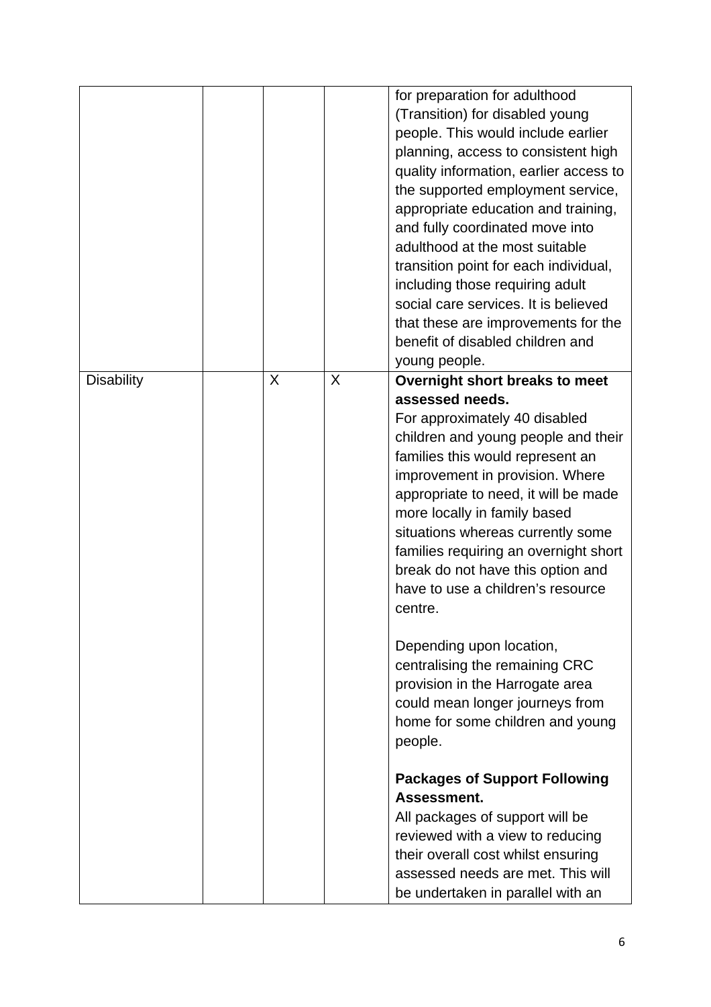|                   |   |   | for preparation for adulthood<br>(Transition) for disabled young |
|-------------------|---|---|------------------------------------------------------------------|
|                   |   |   | people. This would include earlier                               |
|                   |   |   | planning, access to consistent high                              |
|                   |   |   | quality information, earlier access to                           |
|                   |   |   | the supported employment service,                                |
|                   |   |   | appropriate education and training,                              |
|                   |   |   | and fully coordinated move into                                  |
|                   |   |   | adulthood at the most suitable                                   |
|                   |   |   | transition point for each individual,                            |
|                   |   |   | including those requiring adult                                  |
|                   |   |   | social care services. It is believed                             |
|                   |   |   |                                                                  |
|                   |   |   | that these are improvements for the                              |
|                   |   |   | benefit of disabled children and                                 |
|                   |   |   | young people.                                                    |
| <b>Disability</b> | X | X | Overnight short breaks to meet                                   |
|                   |   |   | assessed needs.                                                  |
|                   |   |   | For approximately 40 disabled                                    |
|                   |   |   | children and young people and their                              |
|                   |   |   | families this would represent an                                 |
|                   |   |   | improvement in provision. Where                                  |
|                   |   |   | appropriate to need, it will be made                             |
|                   |   |   | more locally in family based                                     |
|                   |   |   | situations whereas currently some                                |
|                   |   |   | families requiring an overnight short                            |
|                   |   |   | break do not have this option and                                |
|                   |   |   | have to use a children's resource                                |
|                   |   |   | centre.                                                          |
|                   |   |   | Depending upon location,                                         |
|                   |   |   | centralising the remaining CRC                                   |
|                   |   |   | provision in the Harrogate area                                  |
|                   |   |   | could mean longer journeys from                                  |
|                   |   |   | home for some children and young                                 |
|                   |   |   | people.                                                          |
|                   |   |   | <b>Packages of Support Following</b>                             |
|                   |   |   | Assessment.                                                      |
|                   |   |   | All packages of support will be                                  |
|                   |   |   | reviewed with a view to reducing                                 |
|                   |   |   | their overall cost whilst ensuring                               |
|                   |   |   | assessed needs are met. This will                                |
|                   |   |   | be undertaken in parallel with an                                |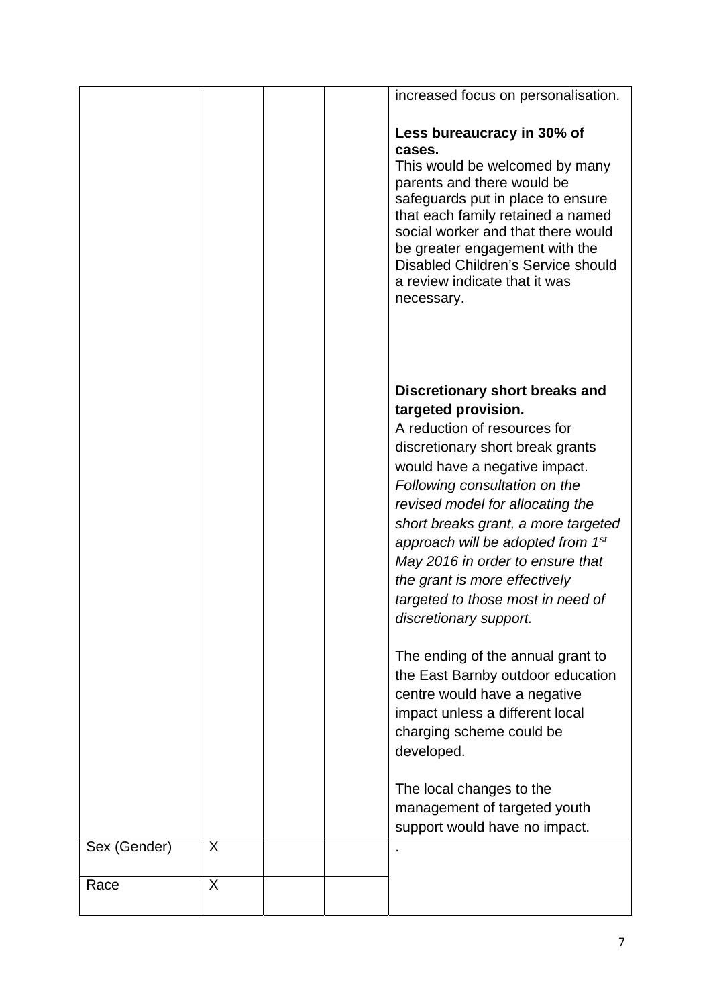|              |   |  | increased focus on personalisation.                                                                                                                                                                                                                                                                                                                                                                                                                         |
|--------------|---|--|-------------------------------------------------------------------------------------------------------------------------------------------------------------------------------------------------------------------------------------------------------------------------------------------------------------------------------------------------------------------------------------------------------------------------------------------------------------|
|              |   |  | Less bureaucracy in 30% of<br>cases.<br>This would be welcomed by many<br>parents and there would be<br>safeguards put in place to ensure<br>that each family retained a named<br>social worker and that there would<br>be greater engagement with the<br>Disabled Children's Service should<br>a review indicate that it was<br>necessary.                                                                                                                 |
|              |   |  | Discretionary short breaks and<br>targeted provision.<br>A reduction of resources for<br>discretionary short break grants<br>would have a negative impact.<br>Following consultation on the<br>revised model for allocating the<br>short breaks grant, a more targeted<br>approach will be adopted from 1 <sup>st</sup><br>May 2016 in order to ensure that<br>the grant is more effectively<br>targeted to those most in need of<br>discretionary support. |
|              |   |  | The ending of the annual grant to<br>the East Barnby outdoor education<br>centre would have a negative<br>impact unless a different local<br>charging scheme could be<br>developed.                                                                                                                                                                                                                                                                         |
|              |   |  | The local changes to the<br>management of targeted youth<br>support would have no impact.                                                                                                                                                                                                                                                                                                                                                                   |
| Sex (Gender) | X |  |                                                                                                                                                                                                                                                                                                                                                                                                                                                             |
| Race         | X |  |                                                                                                                                                                                                                                                                                                                                                                                                                                                             |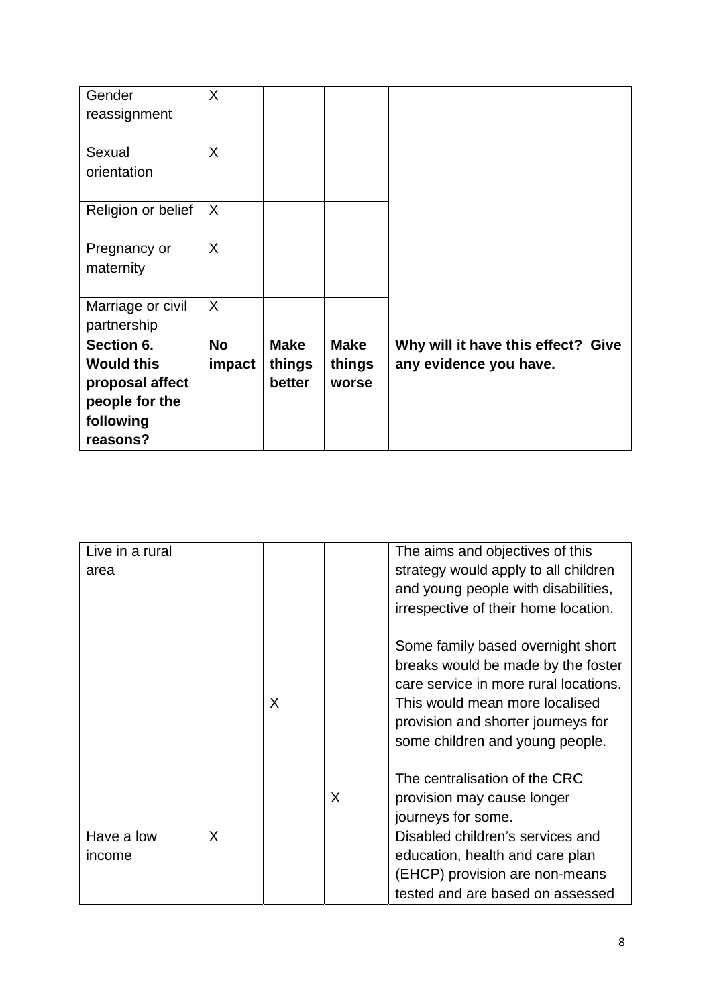| proposal affect<br>people for the<br>following<br>reasons? |                     | better                | worse                 |                                                              |
|------------------------------------------------------------|---------------------|-----------------------|-----------------------|--------------------------------------------------------------|
| Section 6.<br><b>Would this</b>                            | <b>No</b><br>impact | <b>Make</b><br>things | <b>Make</b><br>things | Why will it have this effect? Give<br>any evidence you have. |
| Marriage or civil<br>partnership                           | $\sf X$             |                       |                       |                                                              |
| Pregnancy or<br>maternity                                  | X                   |                       |                       |                                                              |
| Religion or belief                                         | X                   |                       |                       |                                                              |
| Sexual<br>orientation                                      | X                   |                       |                       |                                                              |
| Gender<br>reassignment                                     | X                   |                       |                       |                                                              |

| Live in a rural      |   |   |   | The aims and objectives of this                                                                                                                                                                                             |
|----------------------|---|---|---|-----------------------------------------------------------------------------------------------------------------------------------------------------------------------------------------------------------------------------|
| area                 |   |   |   | strategy would apply to all children                                                                                                                                                                                        |
|                      |   |   |   | and young people with disabilities,                                                                                                                                                                                         |
|                      |   |   |   | irrespective of their home location.                                                                                                                                                                                        |
|                      |   | X |   | Some family based overnight short<br>breaks would be made by the foster<br>care service in more rural locations.<br>This would mean more localised<br>provision and shorter journeys for<br>some children and young people. |
|                      |   |   | X | The centralisation of the CRC<br>provision may cause longer<br>journeys for some.                                                                                                                                           |
| Have a low<br>income | X |   |   | Disabled children's services and<br>education, health and care plan                                                                                                                                                         |
|                      |   |   |   | (EHCP) provision are non-means                                                                                                                                                                                              |
|                      |   |   |   | tested and are based on assessed                                                                                                                                                                                            |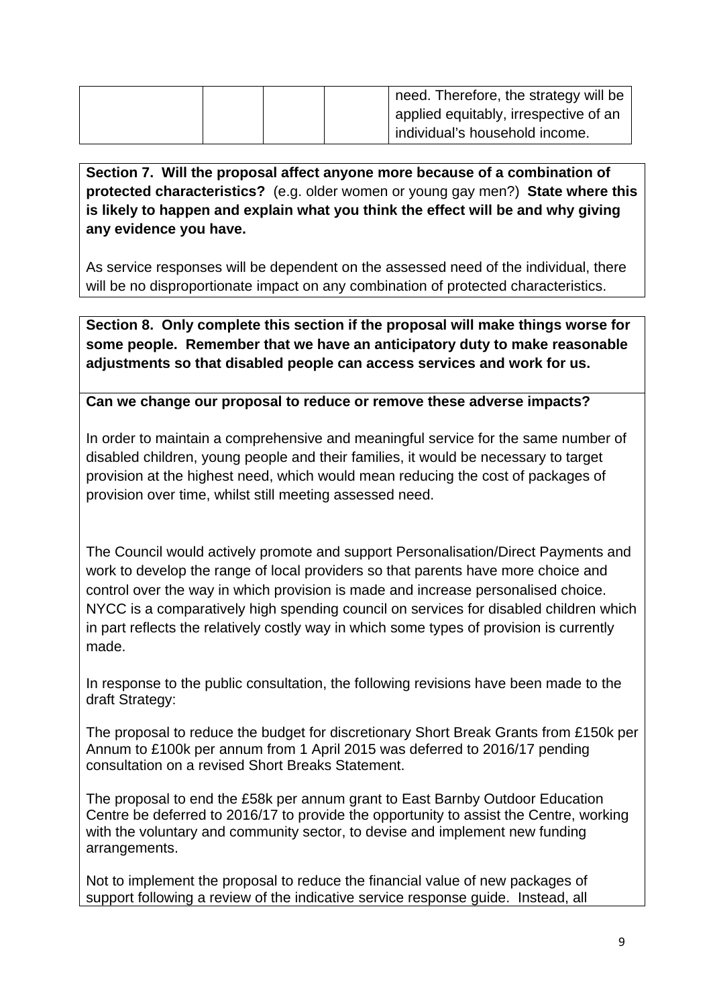|  | need. Therefore, the strategy will be |
|--|---------------------------------------|
|  | applied equitably, irrespective of an |
|  | individual's household income.        |

**Section 7. Will the proposal affect anyone more because of a combination of protected characteristics?** (e.g. older women or young gay men?) **State where this is likely to happen and explain what you think the effect will be and why giving any evidence you have.** 

As service responses will be dependent on the assessed need of the individual, there will be no disproportionate impact on any combination of protected characteristics.

**Section 8. Only complete this section if the proposal will make things worse for some people. Remember that we have an anticipatory duty to make reasonable adjustments so that disabled people can access services and work for us.** 

#### **Can we change our proposal to reduce or remove these adverse impacts?**

In order to maintain a comprehensive and meaningful service for the same number of disabled children, young people and their families, it would be necessary to target provision at the highest need, which would mean reducing the cost of packages of provision over time, whilst still meeting assessed need.

The Council would actively promote and support Personalisation/Direct Payments and work to develop the range of local providers so that parents have more choice and control over the way in which provision is made and increase personalised choice. NYCC is a comparatively high spending council on services for disabled children which in part reflects the relatively costly way in which some types of provision is currently made.

In response to the public consultation, the following revisions have been made to the draft Strategy:

The proposal to reduce the budget for discretionary Short Break Grants from £150k per Annum to £100k per annum from 1 April 2015 was deferred to 2016/17 pending consultation on a revised Short Breaks Statement.

The proposal to end the £58k per annum grant to East Barnby Outdoor Education Centre be deferred to 2016/17 to provide the opportunity to assist the Centre, working with the voluntary and community sector, to devise and implement new funding arrangements.

Not to implement the proposal to reduce the financial value of new packages of support following a review of the indicative service response guide. Instead, all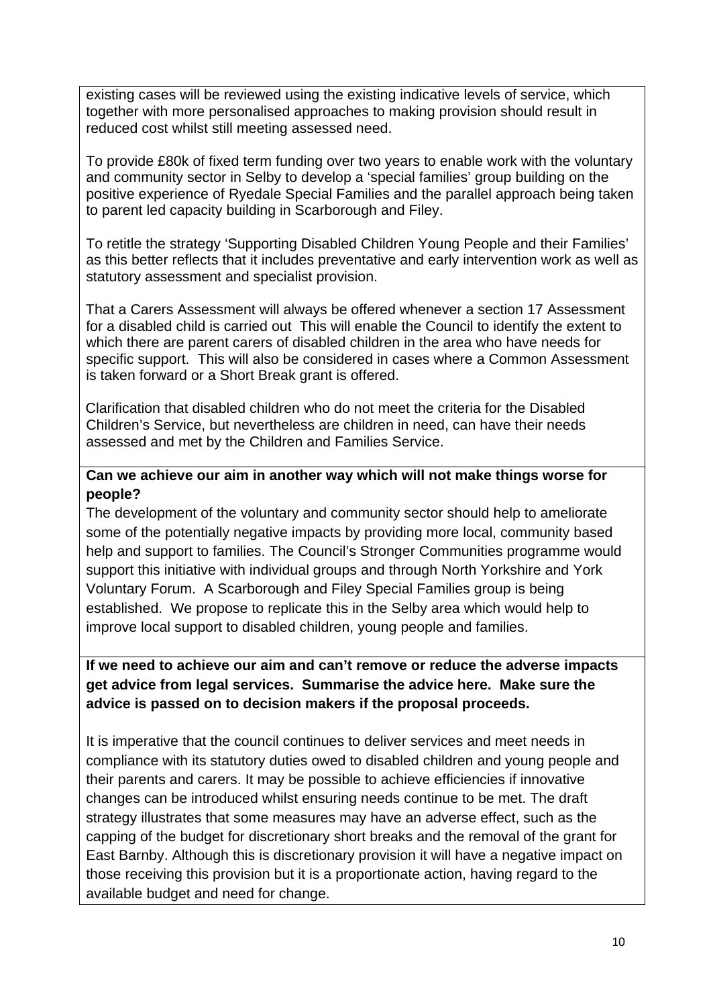existing cases will be reviewed using the existing indicative levels of service, which together with more personalised approaches to making provision should result in reduced cost whilst still meeting assessed need.

To provide £80k of fixed term funding over two years to enable work with the voluntary and community sector in Selby to develop a 'special families' group building on the positive experience of Ryedale Special Families and the parallel approach being taken to parent led capacity building in Scarborough and Filey.

To retitle the strategy 'Supporting Disabled Children Young People and their Families' as this better reflects that it includes preventative and early intervention work as well as statutory assessment and specialist provision.

 That a Carers Assessment will always be offered whenever a section 17 Assessment for a disabled child is carried out This will enable the Council to identify the extent to which there are parent carers of disabled children in the area who have needs for specific support. This will also be considered in cases where a Common Assessment is taken forward or a Short Break grant is offered.

 Clarification that disabled children who do not meet the criteria for the Disabled Children's Service, but nevertheless are children in need, can have their needs assessed and met by the Children and Families Service.

#### **Can we achieve our aim in another way which will not make things worse for people?**

The development of the voluntary and community sector should help to ameliorate some of the potentially negative impacts by providing more local, community based help and support to families. The Council's Stronger Communities programme would support this initiative with individual groups and through North Yorkshire and York Voluntary Forum. A Scarborough and Filey Special Families group is being established. We propose to replicate this in the Selby area which would help to improve local support to disabled children, young people and families.

#### **If we need to achieve our aim and can't remove or reduce the adverse impacts get advice from legal services. Summarise the advice here. Make sure the advice is passed on to decision makers if the proposal proceeds.**

It is imperative that the council continues to deliver services and meet needs in compliance with its statutory duties owed to disabled children and young people and their parents and carers. It may be possible to achieve efficiencies if innovative changes can be introduced whilst ensuring needs continue to be met. The draft strategy illustrates that some measures may have an adverse effect, such as the capping of the budget for discretionary short breaks and the removal of the grant for East Barnby. Although this is discretionary provision it will have a negative impact on those receiving this provision but it is a proportionate action, having regard to the available budget and need for change.